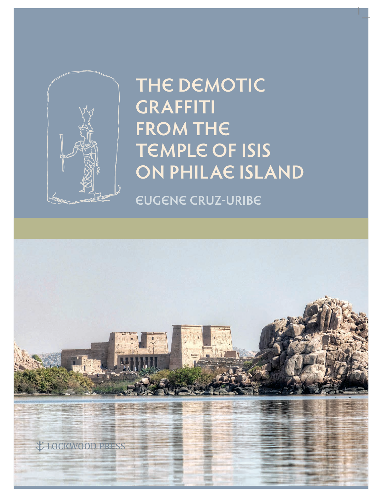

# **THE DEMOTIC GRAFFITI FROM THE TEMPLE OF ISIS ON PHILAE ISLAND**

**EUGENE CRUZ-URIBE**

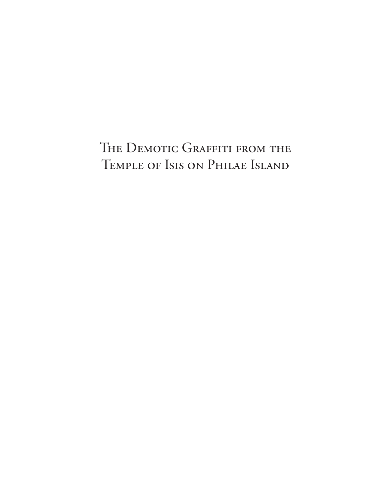# THE DEMOTIC GRAFFITI FROM THE TEMPLE OF ISIS ON PHILAE ISLAND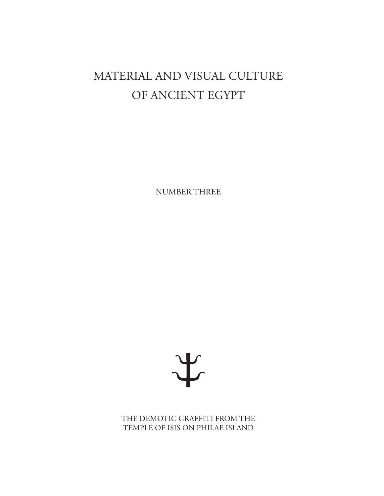# MATERIAL AND VISUAL CULTURE OF ANCIENT EGYPT

NUMBER THREE



THE DEMOTIC GRAFFITI FROM THE TEMPLE OF ISIS ON PHILAE ISLAND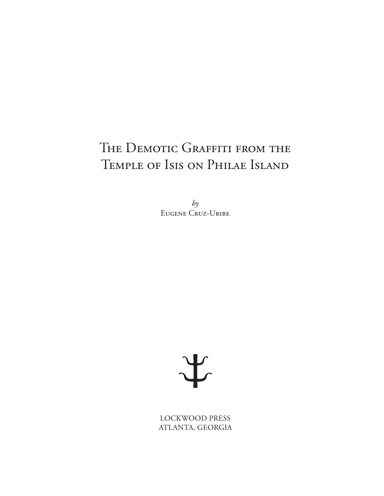### THE DEMOTIC GRAFFITI FROM THE TEMPLE OF ISIS ON PHILAE ISLAND

 $by$ EUGENE CRUZ-URIBE



LOCKWOOD PRESS ATLANTA, GEORGIA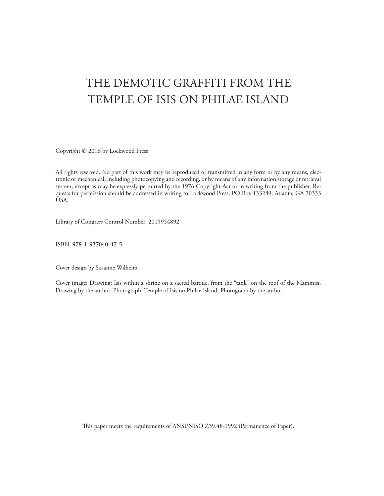### THE DEMOTIC GRAFFITI FROM THE TEMPLE OF ISIS ON PHILAE ISLAND

Copyright © 2016 by Lockwood Press

All rights reserved. No part of this work may be reproduced or transmitted in any form or by any means, electronic or mechanical, including photocopying and recording, or by means of any information storage or retrieval system, except as may be expressly permitted by the 1976 Copyright Act or in writing from the publisher. Requests for permission should be addressed in writing to Lockwood Press, PO Box 133289, Atlanta, GA 30333 USA.

Library of Congress Control Number: 2015954892

ISBN: 978-1-937040-47-5

Cover design by Susanne Wilhelm

Cover image: Drawing: Isis within a shrine on a sacred barque, from the "tank" on the roof of the Mammisi. Drawing by the author. Photograph: Temple of Isis on Philae Island. Photograph by the author.

This paper meets the requirements of ANSI/NISO Z39.48-1992 (Permanence of Paper).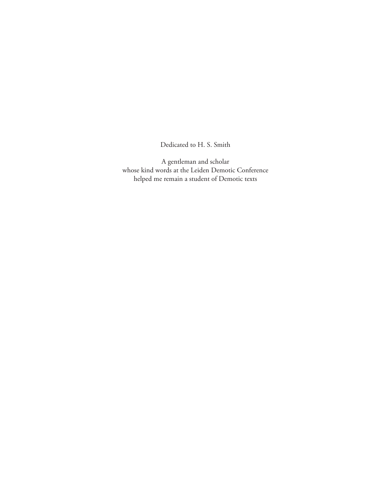Dedicated to H. S. Smith

A gentleman and scholar whose kind words at the Leiden Demotic Conference helped me remain a student of Demotic texts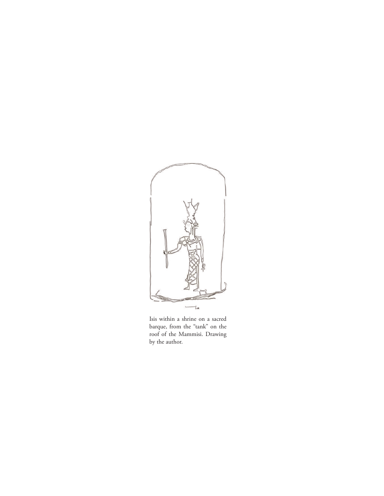

Isis within a shrine on a sacred barque, from the "tank" on the roof of the Mammisi. Drawing by the author.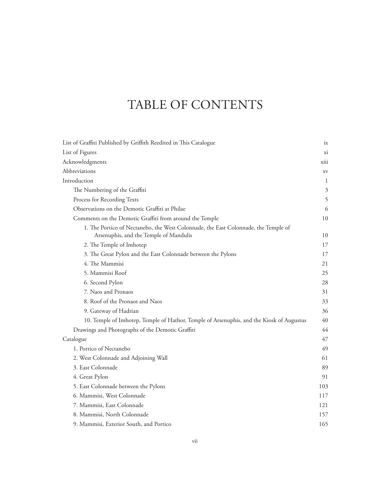### TABLE OF CONTENTS

| List of Graffiti Published by Griffith Reedited in This Catalogue                        | ix   |
|------------------------------------------------------------------------------------------|------|
| List of Figures                                                                          | xi   |
| Acknowledgments                                                                          | xiii |
| Abbreviations                                                                            | XV   |
| Introduction                                                                             | 1    |
| The Numbering of the Graffiti                                                            | 3    |
| Process for Recording Texts                                                              | 5    |
| Observations on the Demotic Graffiti at Philae                                           | 6    |
| Comments on the Demotic Graffiti from around the Temple                                  | 10   |
| 1. The Portico of Nectanebo, the West Colonnade, the East Colonnade, the Temple of       |      |
| Arsenuphis, and the Temple of Mandulis                                                   | 10   |
| 2. The Temple of Imhotep                                                                 | 17   |
| 3. The Great Pylon and the East Colonnade between the Pylons                             | 17   |
| 4. The Mammisi                                                                           | 21   |
| 5. Mammisi Roof                                                                          | 25   |
| 6. Second Pylon                                                                          | 28   |
| 7. Naos and Pronaos                                                                      | 31   |
| 8. Roof of the Pronaos and Naos                                                          | 33   |
| 9. Gateway of Hadrian                                                                    | 36   |
| 10. Temple of Imhotep, Temple of Hathor, Temple of Arsenuphis, and the Kiosk of Augustus | 40   |
| Drawings and Photographs of the Demotic Graffiti                                         | 44   |
| Catalogue                                                                                | 47   |
| 1. Portico of Nectanebo                                                                  | 49   |
| 2. West Colonnade and Adjoining Wall                                                     | 61   |
| 3. East Colonnade                                                                        | 89   |
| 4. Great Pylon                                                                           | 91   |
| 5. East Colonnade between the Pylons                                                     | 103  |
| 6. Mammisi, West Colonnade                                                               | 117  |
| 7. Mammisi, East Colonnade                                                               | 121  |
| 8. Mammisi, North Colonnade                                                              | 157  |
| 9. Mammisi, Exterior South, and Portico                                                  | 165  |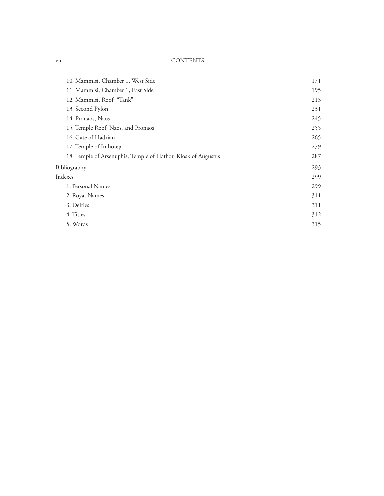#### viii CONTENTS

| 10. Mammisi, Chamber 1, West Side                             | 171 |
|---------------------------------------------------------------|-----|
| 11. Mammisi, Chamber 1, East Side                             | 195 |
| 12. Mammisi, Roof "Tank"                                      | 213 |
| 13. Second Pylon                                              | 231 |
| 14. Pronaos, Naos                                             | 245 |
| 15. Temple Roof, Naos, and Pronaos                            | 255 |
| 16. Gate of Hadrian                                           | 265 |
| 17. Temple of Imhotep                                         | 279 |
| 18. Temple of Arsenuphis, Temple of Hathor, Kiosk of Augustus | 287 |
| Bibliography                                                  | 293 |
| Indexes                                                       | 299 |
| 1. Personal Names                                             | 299 |
| 2. Royal Names                                                | 311 |
| 3. Deities                                                    | 311 |
| 4. Titles                                                     | 312 |
| 5. Words                                                      | 315 |
|                                                               |     |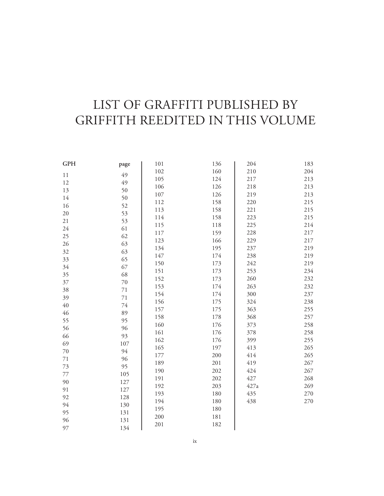### LIST OF GRAFFITI PUBLISHED BY GRIFFITH REEDITED IN THIS VOLUME

| <b>GPH</b> | page   | 101 | 136 | 204  | 183 |
|------------|--------|-----|-----|------|-----|
| $1\,1$     | 49     | 102 | 160 | 210  | 204 |
| 12         | 49     | 105 | 124 | 217  | 213 |
| 13         | 50     | 106 | 126 | 218  | 213 |
| 14         | 50     | 107 | 126 | 219  | 213 |
| 16         | 52     | 112 | 158 | 220  | 215 |
| 20         | 53     | 113 | 158 | 221  | 215 |
| 21         | 53     | 114 | 158 | 223  | 215 |
| 24         | 61     | 115 | 118 | 225  | 214 |
| 25         | 62     | 117 | 159 | 228  | 217 |
| 26         | 63     | 123 | 166 | 229  | 217 |
| 32         | 63     | 134 | 195 | 237  | 219 |
| 33         | 65     | 147 | 174 | 238  | 219 |
| 34         | 67     | 150 | 173 | 242  | 219 |
| 35         | 68     | 151 | 173 | 253  | 234 |
| 37         | $70\,$ | 152 | 173 | 260  | 232 |
| 38         | $71\,$ | 153 | 174 | 263  | 232 |
| 39         | $71\,$ | 154 | 174 | 300  | 237 |
| $40\,$     | $74\,$ | 156 | 175 | 324  | 238 |
| 46         | 89     | 157 | 175 | 363  | 255 |
| 55         | 95     | 158 | 178 | 368  | 257 |
| 56         | 96     | 160 | 176 | 373  | 258 |
| 66         | 93     | 161 | 176 | 378  | 258 |
| 69         | 107    | 162 | 176 | 399  | 255 |
| $70\,$     | 94     | 165 | 197 | 413  | 265 |
| $71\,$     | 96     | 177 | 200 | 414  | 265 |
| 73         | 95     | 189 | 201 | 419  | 267 |
| 77         | 105    | 190 | 202 | 424  | 267 |
| 90         | 127    | 191 | 202 | 427  | 268 |
| 91         | 127    | 192 | 203 | 427a | 269 |
| 92         | 128    | 193 | 180 | 435  | 270 |
| 94         | 130    | 194 | 180 | 438  | 270 |
| 95         | 131    | 195 | 180 |      |     |
| 96         | 131    | 200 | 181 |      |     |
| 97         | 134    | 201 | 182 |      |     |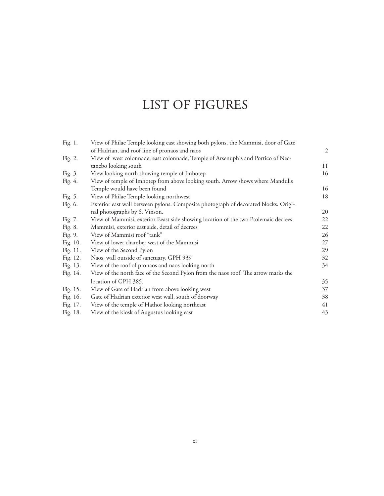### LIST OF FIGURES

| Fig. 1.  | View of Philae Temple looking east showing both pylons, the Mammisi, door of Gate   |    |
|----------|-------------------------------------------------------------------------------------|----|
|          | of Hadrian, and roof line of pronaos and naos                                       | 2  |
| Fig. 2.  | View of west colonnade, east colonnade, Temple of Arsenuphis and Portico of Nec-    |    |
|          | tanebo looking south                                                                | 11 |
| Fig. 3.  | View looking north showing temple of Imhotep                                        | 16 |
| Fig. 4.  | View of temple of Imhotep from above looking south. Arrow shows where Mandulis      |    |
|          | Temple would have been found                                                        | 16 |
| Fig. 5.  | View of Philae Temple looking northwest                                             | 18 |
| Fig. 6.  | Exterior east wall between pylons. Composite photograph of decorated blocks. Origi- |    |
|          | nal photographs by S. Vinson.                                                       | 20 |
| Fig. 7.  | View of Mammisi, exterior Eeast side showing location of the two Ptolemaic decrees  | 22 |
| Fig. 8.  | Mammisi, exterior east side, detail of decrees                                      | 22 |
| Fig. 9.  | View of Mammisi roof "tank"                                                         | 26 |
| Fig. 10. | View of lower chamber west of the Mammisi                                           | 27 |
| Fig. 11. | View of the Second Pylon                                                            | 29 |
| Fig. 12. | Naos, wall outside of sanctuary, GPH 939                                            | 32 |
| Fig. 13. | View of the roof of pronaos and naos looking north                                  | 34 |
| Fig. 14. | View of the north face of the Second Pylon from the naos roof. The arrow marks the  |    |
|          | location of GPH 385.                                                                | 35 |
| Fig. 15. | View of Gate of Hadrian from above looking west                                     | 37 |
| Fig. 16. | Gate of Hadrian exterior west wall, south of doorway                                | 38 |
| Fig. 17. | View of the temple of Hathor looking northeast                                      | 41 |
| Fig. 18. | View of the kiosk of Augustus looking east                                          | 43 |
|          |                                                                                     |    |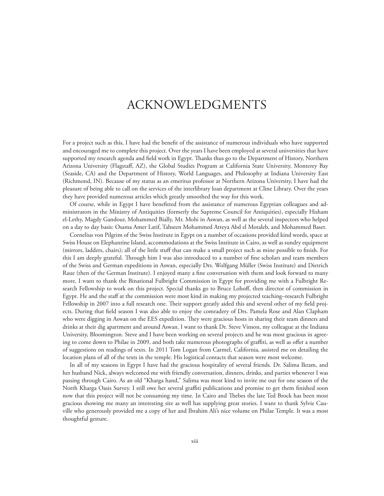### ACKNOWLEDGMENTS

For a project such as this, I have had the beneft of the assistance of numerous individuals who have supported and encouraged me to complete this project. Over the years I have been employed at several universities that have supported my research agenda and field work in Egypt. Thanks thus go to the Department of History, Northern Arizona University (Flagstaf, AZ), the Global Studies Program at California State University, Monterey Bay (Seaside, CA) and the Department of History, World Languages, and Philosophy at Indiana University East (Richmond, IN). Because of my status as an emeritus professor at Northern Arizona University, I have had the pleasure of being able to call on the services of the interlibrary loan department at Cline Library. Over the years they have provided numerous articles which greatly smoothed the way for this work.

Of course, while in Egypt I have beneftted from the assistance of numerous Egyptian colleagues and administrators in the Ministry of Antiquities (formerly the Supreme Council for Antiquities), especially Hisham el-Lethy, Magdy Gandour, Mohammed Bially, Mr. Mohi in Aswan, as well as the several inspectors who helped on a day to day basis: Osama Amer Latif, Tahseen Mohammed Atteya Abd el Motaleb, and Mohammed Baset.

Cornelius von Pilgrim of the Swiss Institute in Egypt on a number of occasions provided kind words, space at Swiss House on Elephantine Island, accommodations at the Swiss Institute in Cairo, as well as sundry equipment (mirrors, ladders, chairs); all of the little stuff that can make a small project such as mine possible to finish. For this I am deeply grateful. Trough him I was also introduced to a number of fne scholars and team members of the Swiss and German expeditions in Aswan, especially Drs. Wolfgang Müller (Swiss Institute) and Dietrich Raue (then of the German Institute). I enjoyed many a fne conversation with them and look forward to many more. I want to thank the Binational Fulbright Commission in Egypt for providing me with a Fulbright Research Fellowship to work on this project. Special thanks go to Bruce Lohoff, then director of commission in Egypt. He and the staf at the commission were most kind in making my projected teaching–research Fulbright Fellowship in 2007 into a full research one. Their support greatly aided this and several other of my field projects. During that feld season I was also able to enjoy the comradery of Drs. Pamela Rose and Alan Clapham who were digging in Aswan on the EES expedition. They were gracious hosts in sharing their team dinners and drinks at their dig apartment and around Aswan. I want to thank Dr. Steve Vinson, my colleague at the Indiana University, Bloomington. Steve and I have been working on several projects and he was most gracious in agreeing to come down to Philae in 2009, and both take numerous photographs of graffiti, as well as offer a number of suggestions on readings of texts. In 2011 Tom Logan from Carmel, California, assisted me on detailing the location plans of all of the texts in the temple. His logistical contacts that season were most welcome.

In all of my seasons in Egypt I have had the gracious hospitality of several friends. Dr. Salima Ikram, and her husband Nick, always welcomed me with friendly conversation, dinners, drinks, and parties whenever I was passing through Cairo. As an old "Kharga hand," Salima was most kind to invite me out for one season of the North Kharga Oasis Survey. I still owe her several grafti publications and promise to get them fnished soon now that this project will not be consuming my time. In Cairo and Thebes the late Ted Brock has been most gracious showing me many an interesting site as well has supplying great stories. I want to thank Sylvie Cauville who generously provided me a copy of her and Ibrahim Ali's nice volume on Philae Temple. It was a most thoughtful gesture.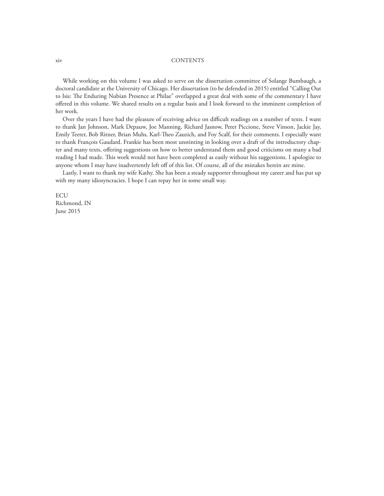#### xiv CONTENTS

While working on this volume I was asked to serve on the dissertation committee of Solange Bumbaugh, a doctoral candidate at the University of Chicago. Her dissertation (to be defended in 2015) entitled "Calling Out to Isis: The Enduring Nubian Presence at Philae" overlapped a great deal with some of the commentary I have ofered in this volume. We shared results on a regular basis and I look forward to the imminent completion of her work.

Over the years I have had the pleasure of receiving advice on difficult readings on a number of texts. I want to thank Jan Johnson, Mark Depauw, Joe Manning, Richard Jasnow, Peter Piccione, Steve Vinson, Jackie Jay, Emily Teeter, Bob Ritner, Brian Muhs, Karl-Teo Zauzich, and Foy Scalf, for their comments. I especially want to thank François Gaudard. Frankie has been most unstinting in looking over a draft of the introductory chapter and many texts, ofering suggestions on how to better understand them and good criticisms on many a bad reading I had made. This work would not have been completed as easily without his suggestions. I apologize to anyone whom I may have inadvertently left off of this list. Of course, all of the mistakes herein are mine.

Lastly, I want to thank my wife Kathy. She has been a steady supporter throughout my career and has put up with my many idiosyncracies. I hope I can repay her in some small way.

ECU Richmond, IN June 2015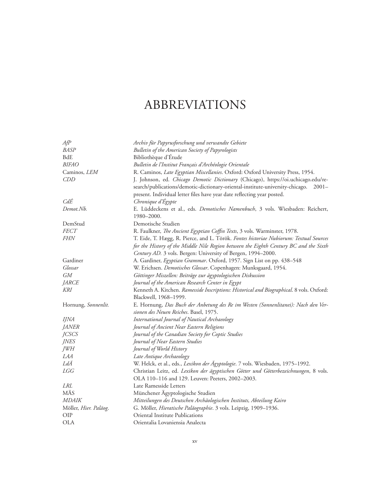### ABBREVIATIONS

| A f P                 | Archiv für Papyrusforschung und verwandte Gebiete                                        |
|-----------------------|------------------------------------------------------------------------------------------|
| <b>BASP</b>           | Bulletin of the American Society of Papyrologists                                        |
| <b>BdE</b>            | Bibliothèque d'Étude                                                                     |
| <i>BIFAO</i>          | Bulletin de l'Institut Français d'Archéologie Orientale                                  |
| Caminos, LEM          | R. Caminos, Late Egyptian Miscellanies. Oxford: Oxford University Press, 1954.           |
| CDD                   | J. Johnson, ed. Chicago Demotic Dictionary (Chicago), https://oi.uchicago.edu/re-        |
|                       | search/publications/demotic-dictionary-oriental-institute-university-chicago. 2001-      |
|                       | present. Individual letter files have year date reflecting year posted.                  |
| CdÉ                   | Chronique d'Égypte                                                                       |
| Demot.Nb.             | E. Lüddeckens et al., eds. Demotisches Namenbuch, 3 vols. Wiesbaden: Reichert,           |
|                       | 1980-2000.                                                                               |
| DemStud               | Demotische Studien                                                                       |
| <b>FECT</b>           | R. Faulkner, <i>The Ancient Egyptian Coffin Texts</i> , 3 vols. Warminster, 1978.        |
| <i>FHN</i>            | T. Eide, T. Hægg, R. Pierce, and L. Török. Fontes historiae Nubiorum: Textual Sources    |
|                       | for the History of the Middle Nile Region between the Eighth Century BC and the Sixth    |
|                       | Century AD. 3 vols. Bergen: University of Bergen, 1994-2000.                             |
| Gardiner              | A. Gardiner, Egyptian Grammar. Oxford, 1957. Sign List on pp. 438-548                    |
| Glossar               | W. Erichsen. Demotisches Glossar. Copenhagen: Munksgaard, 1954.                          |
| <b>GM</b>             | Göttinger Miszellen: Beiträge zur ägyptologischen Diskussion                             |
| JARCE                 | Journal of the American Research Center in Egypt                                         |
| <b>KRI</b>            | Kenneth A. Kitchen. Ramesside Inscriptions: Historical and Biographical. 8 vols. Oxford: |
|                       | Blackwell, 1968-1999.                                                                    |
| Hornung, Sonnenlit.   | E. Hornung, Das Buch der Anbetung des Re im Westen (Sonnenlitanei): Nach den Ver-        |
|                       | sionen des Neuen Reiches. Basel, 1975.                                                   |
| <i>IJNA</i>           | International Journal of Nautical Archaeology                                            |
| <b>JANER</b>          | Journal of Ancient Near Eastern Religions                                                |
| <b>JCSCS</b>          | Journal of the Canadian Society for Coptic Studies                                       |
| <b>JNES</b>           | Journal of Near Eastern Studies                                                          |
| JWH                   | Journal of World History                                                                 |
| LAA                   | Late Antique Archaeology                                                                 |
| LdÄ                   | W. Helck, et al., eds., Lexikon der Ägyptologie. 7 vols. Wiesbaden, 1975-1992.           |
| LGG                   | Christian Leitz, ed. Lexikon der ägyptischen Götter und Götterbezeichnungen, 8 vols.     |
|                       | OLA 110-116 and 129. Leuven: Peeters, 2002-2003.                                         |
| <i>LRL</i>            | Late Ramesside Letters                                                                   |
| MÄS                   | Münchener Ägyptologische Studien                                                         |
| <b>MDAIK</b>          | Mitteilungen des Deutschen Archäologischen Instituts, Abteilung Kairo                    |
| Möller, Hier. Paläog. | G. Möller, Hieratische Paläographie. 3 vols. Leipzig, 1909-1936.                         |
| <b>OIP</b>            | Oriental Institute Publications                                                          |
| <b>OLA</b>            | Orientalia Lovaniensia Analecta                                                          |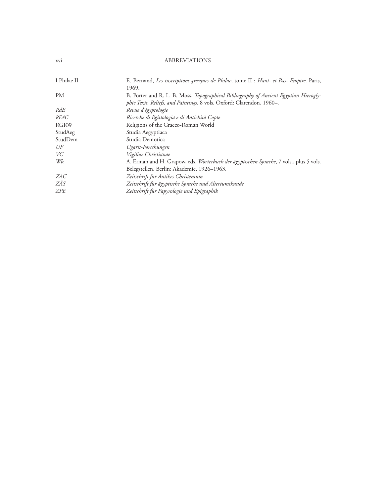#### xvi ABBREVIATIONS

| I Philae II | E. Bernand, Les inscriptions grecques de Philae, tome II : Haut- et Bas- Empire. Paris, |
|-------------|-----------------------------------------------------------------------------------------|
|             | 1969.                                                                                   |
| PМ          | B. Porter and R. L. B. Moss. Topographical Bibliography of Ancient Egyptian Hierogly-   |
|             | phic Texts, Reliefs, and Paintings. 8 vols. Oxford: Clarendon, 1960-.                   |
| RdE         | Revue d'égyptologie                                                                     |
| <i>REAC</i> | Ricerche di Egittologia e di Antichità Copte                                            |
| RGRW        | Religions of the Graeco-Roman World                                                     |
| StudAeg     | Studia Aegyptiaca                                                                       |
| StudDem     | Studia Demotica                                                                         |
| UF          | Ugarit-Forschungen                                                                      |
| VC          | Vigiliae Christianae                                                                    |
| Wb.         | A. Erman and H. Grapow, eds. Wörterbuch der ägyptischen Sprache, 7 vols., plus 5 vols.  |
|             | Belegstellen. Berlin: Akademie, 1926–1963.                                              |
| ZAC         | Zeitschrift für Antikes Christentum                                                     |
| ZÄS         | Zeitschrift für ägyptische Sprache und Altertumskunde                                   |
| ZPE         | Zeitschrift für Papyrologie und Epigraphik                                              |
|             |                                                                                         |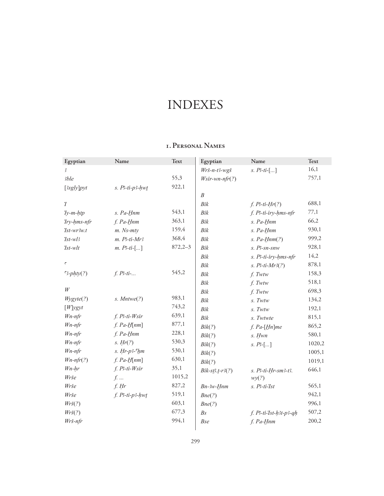#### **1. Personal Names**

| Egyptian                  | Name                       | <b>Text</b> | Egyptian                | Name                    | <b>Text</b> |
|---------------------------|----------------------------|-------------|-------------------------|-------------------------|-------------|
| 3                         |                            |             | Wrš-n-t3-wgš            | s. $P3-ti-[]$           | 16,1        |
| 3ble                      |                            | 55,3        | $W\text{sir-wn-nfr}(?)$ |                         | 757,1       |
| [3sgly]pyt                | $s.$ $B$ -ti- $p$ 3- $hwt$ | 922,1       |                         |                         |             |
|                           |                            |             | $\boldsymbol{B}$        |                         |             |
| $\tau$                    |                            |             | Bik                     | $f. P3-ti-Hr(?)$        | 688,1       |
| $Ty$ - $m$ - $htp$        | s. Pa-Hnm                  | 543,1       | Bik                     | f. P3-ti-iry-hms-nfr    | 77,1        |
| Try-hms-nfr               | f. Pa-Hnm                  | 363,1       | Bik                     | s. Pa-Hnm               | 66,2        |
| $7st$ -wr $3w.t$          | $m.$ Ns- $mty$             | 159,4       | Bik                     | s. Pa-Hnm               | 930,1       |
| $7st-wB$                  | $m.$ $B$ -ti- $Mr3$        | 368,4       | Bik                     | s. $Pa-Hnm(?)$          | 999,2       |
| $\mathit{Ist-wlt}$        | $m. P3-ti-[]$              | $872,2-3$   | Bik                     | $s.$ $B$ - $sn$ - $snw$ | 928,1       |
|                           |                            |             | Bik                     | s. P3-ti-iry-hms-nfr    | 14,2        |
| $\epsilon$                |                            |             | Bik                     | $s. P3-ti-Mr3(?)$       | 878,1       |
| $3-{\text{phty}}(?)$      | $f. P3-ti-.$               | 545,2       | Bik                     | f. Twtw                 | 158,3       |
|                           |                            |             | Bik                     | f. Twtw                 | 518,1       |
| W                         |                            |             | Bik                     | f. Twtw                 | 698,3       |
| Wygyte(?)                 | $s.$ Mntwe $(?)$           | 983,1       | Bik                     | $s.$ Twtw               | 134,2       |
| $[W]$ ygyt                |                            | 743,2       | Bik                     | s. Twtw                 | 192,1       |
| $W$ n-nfr                 | $f. P3-ti-Wsir$            | 639,1       | Bik                     | s. Twtwte               | 815,1       |
| $W$ n-nfr                 | $f. Pa-H[nm]$              | 877,1       | Bik(?)                  | $f.$ Pa- $[Hn]$ me      | 865,2       |
| $W$ n-nfr                 | f. Pa-Hnm                  | 228,1       | Bik(?)                  | s. Hwn                  | 580,1       |
| $W$ n-nfr                 | s. $Hr(?)$                 | 530,3       | Bik(?)                  | s. P <sub>5</sub> []    | 1020,2      |
| $W$ n-nfr                 | $s.$ Hr- $p3$ - $hm$       | 530,1       | Bik(?)                  |                         | 1005,1      |
| $Wn-nfr(?)$               | $f. Pa-H[nm]$              | 630,1       | Bik(?)                  |                         | 1019,1      |
| $Wn-hr$                   | $f. P3-ti-Wsir$            | 35,1        | $Bik-sB.t-r3(?)$        | s. P3-ti-Hr-sm3-t3.     | 646,1       |
| Wrše                      | $f.$                       | 1015,2      |                         | wy(?)                   |             |
| Wrše                      | $f.$ Hr                    | 827,2       | $Bn-3w-Hnm$             | $s.$ $B$ -ti- $I$ st    | 565,1       |
| Wrše                      | $f. P3-ti-p3-hwt$          | 519,1       | Bne(?)                  |                         | 942,1       |
| $Wr\check{\mathbf{s}}(?)$ |                            | 603,1       | Bne(?)                  |                         | 996,1       |
| $Wr\check{\mathbf{s}}(?)$ |                            | 677,3       | B <sub>S</sub>          | f. P3-ti-Ist-h3t-p3-qh  | 507,2       |
| Wrš-nfr                   |                            | 994,1       | <b>Bse</b>              | f. Pa-Hnm               | 200,2       |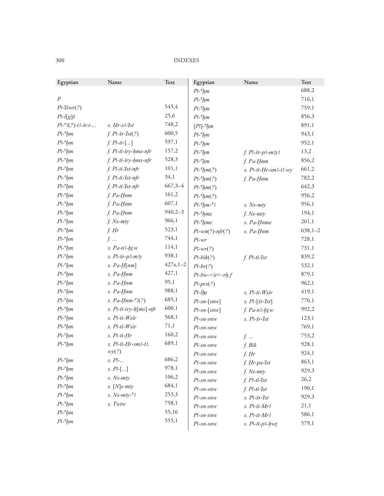| Egyptian                   | Name                         | Text          | Egyptian                                 | Name                                              | Text        |
|----------------------------|------------------------------|---------------|------------------------------------------|---------------------------------------------------|-------------|
|                            |                              |               | $P^2$ - $^{\mathsf{c}}$ <i>hm</i>        |                                                   | 688,2       |
| $\overline{P}$             |                              |               | $P3$ - $c$ <i>hm</i>                     |                                                   | 716,1       |
| $P3$ -Tšwr $(?)$           |                              | 545,4         | $P3$ - $hm$                              |                                                   | 759,1       |
| $P\text{-}i[g]\check{s}$   |                              | 25,6          | $P3$ - $hm$                              |                                                   | 856,3       |
| $P3-3(?)-t3-5rt-$          | $s. Hr-s3-Ist$               | 748,2         | $[B]$ - $^{\mathsf{c}}$ <i>hm</i>        |                                                   | 891,1       |
| $P$ - $^{\mathsf{c}}$ hm   | $f. P5r-1st(?)$              | 600,5         | $P3$ - $hm$                              |                                                   | 943,1       |
| $P^2$ - $h$ m              | $f. P3-ti-[]$                | 597,1         | $P3$ - $hm$                              |                                                   | 952,1       |
| $P^3$ - $^{\mathsf{c}}$ hm | f. Ps-ti-iry-hms-nfr         | 157,2         | $P3$ - $hm$                              | $f. P3-yr-p3-m3y3$                                | 13,2        |
| $P$ - $^{\mathsf{c}}$ hm   | f. P3-ti-iry-hms-nfr         | 528,3         | $P3$ - $hm$                              | f. Pa-Hnm                                         | 856,2       |
| $P^2$ - $h$ m              | f. P3-ti-Ist-nfr             | 101,1         | $P3$ - $\frac{h}{m(?)}$                  | s. P3-ti-Hr-sm3-t3.wy                             | 661,2       |
| $P^3$ - $^{\mathsf{c}}$ hm | f. P3-ti-Ist-nfr             | 34,1          | $P3$ - $\frac{h}{m}$ (?)                 | f. Pa-Hnm                                         | 782,2       |
| $P^3$ - $^{\mathsf{c}}$ hm | f. P3-ti-Ist-nfr             | $667,3-4$     | $P^2$ - $\frac{h}{m}$ (?)                |                                                   | 642,3       |
| $P^2$ - $h$ m              | f. Pa-Hnm                    | 161,2         | $P3$ - $\frac{h}{m}$ (?)                 |                                                   | 956,2       |
| $P^3$ - $^{\mathsf{c}}$ hm | f. Pa-Hnm                    | 607,1         | $P3$ - $7$ <sub>hm-<math>-3</math></sub> | $s.$ Ns- $mty$                                    | 956,1       |
| $P^2$ - $h$ m              | $f. Pa-Hnm$                  | $940,2 - 3$   | P3-chme                                  | $f.$ Ns- $mty$                                    | 194,1       |
| $P^2$ - $h$ m              | $f.$ Ns- $mty$               | 966,1         | $P3$ - $^{\circ}$ hme                    | s. Pa-Hnme                                        | 201,1       |
| $P^3$ - $^{\mathsf{c}}$ hm | f. Hr                        | 523,1         | $P3-wn(?)-nfr(?)$                        | s. Pa-Hnm                                         | $638,1 - 2$ |
| $P^2$ - $h$ m              | $f. \ldots$                  | 744,1         | $P - wr$                                 |                                                   | 728,1       |
| $P^2$ - $h$ m              | $s. Pa-n3-ht.w$              | 114,1         | $P\text{-}wr(?)$                         |                                                   | 731,1       |
| $P^3$ - $^{\mathsf{c}}$ hm | $s. P3-$ šr- $p3-$ m $3y$    | 938,1         | $P3-bik(?)$                              | $f. P3-ti-Ist$                                    | 839,2       |
| $P^2$ - $h$ m              | $s. Pa-H$ [nm]               | $427a, 1 - 2$ | $P5-br(?)$                               |                                                   | 532,1       |
| $P^2$ - $h$ m              | s. Pa-Hnm                    | 427,1         | $P3-bw < i r > -r h.f$                   |                                                   | 879,1       |
| $P^2$ - $h$ m              | s. Pa-Hnm                    | 95,1          | $B\text{-}prs(?)$                        |                                                   | 962,1       |
| $P^2$ - $h$ m              | s. Pa-Hnm                    | 988,1         | $P3$ -lhe                                | s. P <sup>3</sup> -ti-Wsir                        | 419,1       |
| $P^2$ - $h$ m              | s. $Pa - Hnm - 3(?)$         | 685,1         | $P$ -sn- $\lceil snw \rceil$             | $s.$ $P$ <sup>2</sup> -[ $\delta$ r- $\delta$ st] | 770,1       |
| $P^2$ - $h$ m              | s. P3-ti-iry-h[ms]-nfr       | 600,1         | $P$ -sn-[snw]                            | $f. Pa-n3-ht.w$                                   | 992,2       |
| $P^2$ - $h$ m              | s. P3-ti-Wsir                | 568,1         | $P$ -sn-snw                              | $s.$ $B$ - $\check{s}$ r- $\check{l}st$           | 123,1       |
| $P^2$ - $h$ m              | s. P3-ti-Wsir                | 71,1          | $P$ -sn-snw                              |                                                   | 769,1       |
| $P^2$ - $h$ m              | $s.$ $P3-ti-Hr$              | 160,2         | $P$ -sn-snw                              | $f_{\cdot}$                                       | 753,2       |
| $P^2$ - $h$ m              | s. P3-ti-Hr-sm3-t3.          | 689,1         | $P$ -sn-snw                              | f. Bik                                            | 928,1       |
|                            | wy(?)                        |               | $P$ -sn-snw                              | $f.$ Hr                                           | 924,1       |
| $P^2$ - $\mathcal{L}$ m    | $s. P3-.$                    | 686,2         | $P$ -sn-snw                              | f. Hr-pa-Ist                                      | 863,1       |
| $P^2$ - $hm$               | s. $P_2$ []                  | 978,1         | $P$ -sn-snw                              | $f.$ Ns- $mty$                                    | 929,3       |
| $P$ - $^{\mathsf{c}}$ hm   | s. Ns-mty                    | 106,2         | $P$ -sn-snw                              | $f. P3-ti-1st$                                    | 26,2        |
| $P^2$ - $hm$               | $s.$ [N]s- $mty$             | 684,1         | $P$ -sn-snw                              | $f. P3-ti-1st$                                    | 190,1       |
| $P$ - $^{\mathsf{c}}$ hm   | s. $Ns$ - $mty$ - $\sqrt{3}$ | 253,3         | $P$ -sn-snw                              | $s.$ $B$ - $\check{s}$ r- $\check{s}$ t           | 929,3       |
| $P^2$ - $hm$               | s. Twtw                      | 758,1         | $P$ -sn-snw                              | $s.$ $B$ -ti- $Mr3$                               | 21,1        |
| $P3$ - $c$ <i>hm</i>       |                              | 55,16         | $P$ -sn-snw                              | $s.$ $B$ -ti- $Mr3$                               | 586,1       |
| $P3$ - $hm$                |                              | 555,1         | $P$ -sn-snw                              | $s.$ $P3-ti-p3-hwt$                               | 579,1       |
|                            |                              |               |                                          |                                                   |             |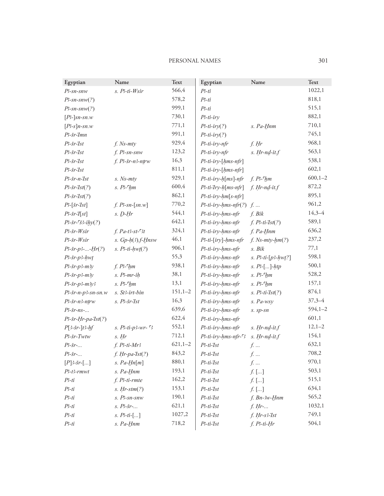#### PERSONAL NAMES 301

| Egyptian                                    | Name                          | Text         | Egyptian                    | Name                     | Text         |
|---------------------------------------------|-------------------------------|--------------|-----------------------------|--------------------------|--------------|
| $P$ -sn-snw                                 | s. P3-ti-Wsir                 | 566,4        | $P-ti$                      |                          | 1022,1       |
| $B\text{-}sn\text{-}snw(?)$                 |                               | 578,2        | $P3-ti$                     |                          | 818,1        |
| $P-Sn-Snw(?)$                               |                               | 999,1        | $P3-ti$                     |                          | 515,1        |
| $[P3-]sn - sn.w$                            |                               | 730,1        | $P$ -ti-iry                 |                          | 882,1        |
| $[P\text{-}s]$ n-sn.w                       |                               | 771,1        | $P$ <sup>3</sup> -ti-iry(?) | s. Pa-Hnm                | 710,1        |
| $P3$ -šr- $I$ mn                            |                               | 991,1        | $P3-ti-iry(?)$              |                          | 745,1        |
| $P$ 3r- $I$ st                              | $f.$ Ns- $mty$                | 929,4        | P3-ti-iry-nfr               | $f.$ Hr                  | 968,1        |
| $P$ 3- $\zeta$ r- $\zeta$                   | $f.$ $P$ -sn-snw              | 123,2        | P3-ti-iry-nfr               | $s.$ Hr- $nd$ -it. $f$   | 563,1        |
| $P$ 3- $r$ - $I$ st                         | f. P3-šr-n3-ntrw              | 16,3         | P3-ti-iry-[hms-nfr]         |                          | 538,1        |
| $P$ 3- $\zeta$ r- $\zeta$                   |                               | 811,1        | P3-ti-iry-[hms-nfr]         |                          | 602,1        |
| $P$ 3- $\zeta$ r-n- $\zeta$                 | s. Ns-mty                     | 929,1        | P3-ti-iry-h[ms]-nfr         | f. $P^3$ - $hm$          | $600, 1 - 2$ |
| $P$ 3r- $7st(?)$                            | $s. P2$ - $2$ $2$ $2$ $2$ $3$ | 600,4        | P3-ti-Iry-h[ms-nfr]         | $f. Hr$ -nd-it. $f$      | 872,2        |
| $P3$ -šr- $7st(?)$                          |                               | 862,1        | P3-ti-iry-hm[s-nfr]         |                          | 895,1        |
| $P$ <sup>2</sup> -[ $\check{s}$ r-'[ $st$ ] | $f. P3-sn-[sn.w]$             | 770,2        | $P3$ -ti-iry-hms-nfr(?)     | $f_{\cdot}$ $\dots$      | 961,2        |
| $P$ 3-šr- $T[st]$                           | $s.$ $D-Hr$                   | 544,1        | P3-ti-iry-hms-nfr           | f. Bik                   | $14,3 - 4$   |
| $P$ 3-šr- $\zeta$ 33-ihy(?)                 |                               | 642,1        | P3-ti-iry-hms-nfr           | $f. P3-ti-Ist(?)$        | 589,1        |
| $P3$ -šr- $W$ sir                           | $f. Pa-t3-st-3t$              | 324,1        | P3-ti-iry-hms-nfr           | f. Pa-Hnm                | 636,2        |
| P3-šr-Wsir                                  | s. $Gp-h(3)$ . f-Hnsw         | 46,1         | P3-ti-[iry]-hms-nfr         | $f.$ Ns- $mty$ -hm $(?)$ | 237,2        |
| $P3 - \frac{5r}{P3} - \frac{Hr(?)}{P}$      | $s.$ $B$ -ti- $hwt(?)$        | 906,1        | P3-ti-iry-hms-nfr           | s. Bik                   | 77,1         |
| $P3$ -šr-p3- $hwt$                          |                               | 55,3         | P3-ti-iry-hms-nfr           | s. $P3-ti-[p3-hwt?]$     | 598,1        |
| $P3$ -šr-p3-m3y                             | f. $P^3$ - $hm$               | 938,1        | P3-ti-iry-hms-nfr           | $s. P5$ []- $htp$        | 500,1        |
| $P$ 3-šr-p3-m3y                             | s. P-mr-ih                    | 38,1         | P3-ti-iry-hms-nfr           | $s.$ $P3$ - $h$ m        | 528,2        |
| $P3$ -šr-p3-m3y3                            | $s.$ $B$ - $h$ m              | 13,1         | P3-ti-iry-hms-nfr           | $s.$ $B$ - $h$ m         | 157,1        |
| $P3$ -šr-n-p3-sn-sn.w                       | s. St3-irt-bin                | $151,1-2$    | P3-ti-iry-hms-nfr           | $s.$ $P3-ti-Ist(?)$      | 874,1        |
| P3-šr-n3-ntrw                               | $s.$ $P3$ - $5r$ - $7st$      | 16,3         | P3-ti-iry-hms-nfr           | s. Pa-wsy                | $37,3 - 4$   |
| $P3$ -šr-ns-                                |                               | 639,6        | P3-ti-iry-hms-nfr           | s. sp-sn                 | $594,1 - 2$  |
| $P3$ -šr-Hr-pa-Ist $(?)$                    |                               | 622,4        | P3-ti-iry-hms-nfr           |                          | 601,1        |
| $P[3-5r-]t3-hf$                             | s. $P3-ti-p3-wr-$ 3           | 552,1        | P3-ti-iry-hms-nfr           | $s.$ Hr- $nd$ -it. $f$   | $12,1-2$     |
| P3-šr-Twtw                                  | $s.$ Hr                       | 712,1        | P3-ti-iry-hms-nfr-53        | s. Hr-nd-it.f            | 154,1        |
| $P\rightarrow$ $\check{S}r$ -               | $f. P3-ti-Mr3$                | $621, 1 - 2$ | $P3-ti-Ist$                 | $f$                      | 632,1        |
| $P3$ -šr-                                   | $f. Hr$ -pa- $Ist(?)$         | 843,2        | $P3-ti-Ist$                 | $f.$                     | 708,2        |
| $[P]$ 3-šr-[]                               | $s. Pa-Hn[m]$                 | 880,1        | P3-ti-Ist                   | $f.$                     | 970,1        |
| $P3-t3-rmwt$                                | s. Pa-Hnm                     | 193,1        | $P3-ti-Ist$                 | $f\! \ldots]$            | 503,1        |
| $P3-ti$                                     | f. P3-ti-rmte                 | 162,2        | $P3-ti-Ist$                 | $f.$ []                  | 515,1        |
| $P-ti$                                      | $s.$ Hr-stm $(?)$             | 153,1        | $P3-ti-Ist$                 | $f.$ $[]$                | 634,1        |
| $P3-ti$                                     | s. Ps-sn-snw                  | 190,1        | $P3-ti-Ist$                 | $f.$ Bn- $3w$ -Hnm       | 565,2        |
| $P3-ti$                                     | $s. P3 - \check{s}r - $       | 621,1        | $P3-ti-Ist$                 | f. Hr                    | 1032,1       |
| $P3-ti$                                     | s. $P3-ti-[]$                 | 1027,2       | $P3-ti-Ist$                 | $f. Hr-s3-Ist$           | 749,1        |
| $P3-ti$                                     | s. Pa-Hnm                     | 718,2        | $P3-ti-Ist$                 | $f. P3-ti-Hr$            | 504,1        |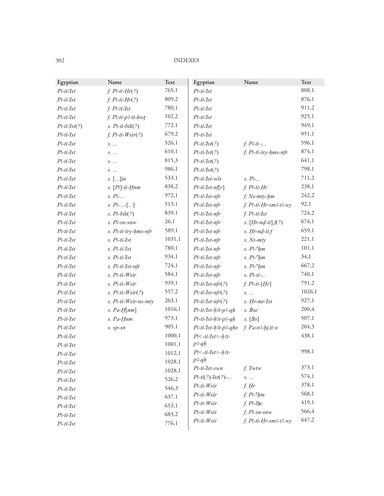| Egyptian           | Name                           | Text   | Egyptian                | Name                     | Text   |
|--------------------|--------------------------------|--------|-------------------------|--------------------------|--------|
| $P$ 3-ti- $I$ st   | $f. P3-ti-Hr(?)$               | 765,1  | $P3-ti-Ist$             |                          | 808,1  |
| $P$ 3-ti- $I$ st   | $f. P3-ti-Hr(?)$               | 809,2  | $P3-ti-Ist$             |                          | 876,1  |
| $P$ 3-ti- $I$ st   | $f.$ $P3-ti-Ist$               | 780,1  | $P3-ti-Ist$             |                          | 911,2  |
| $P$ 3-ti- $I$ st   | $f.$ $B$ -ti- $p$ 3-ti- $h$ wt | 102,2  | $P3-ti-Ist$             |                          | 925,1  |
| $P$ 3-ti- $Ist(?)$ | $s.$ $P3-ti-bik(?)$            | 772,1  | $P-ti-Ist$              |                          | 949,1  |
| $P$ 3-ti- $I$ st   | $f. P5 - ti-Wsir(?)$           | 679,2  | $P3-ti-Ist$             |                          | 951,1  |
| $P$ 3-ti- $I$ st   | $S.$                           | 526,1  | $P3-ti-Ist(?)$          | $f. P3-ti$ -             | 596,1  |
| $P-ti-Ist$         | $S.$                           | 610,1  | $P3-ti-Ist(?)$          | f. P3-ti-iry-hms-nfr     | 874,1  |
| $P$ 3-ti- $I$ st   | $S.$                           | 815,3  | $P3-ti-Ist(?)$          |                          | 641,1  |
| $P$ 3-ti- $I$ st   | $S.$                           | 986,1  | $P3-ti-Ist(?)$          |                          | 798,1  |
| $P$ 3-ti- $I$ st   | $s.$ [] $in$                   | 533,1  | $P$ 3-ti- $I$ st-w $ls$ | $s. P-.$                 | 711,2  |
| $P-ti-Ist$         | $s.$ [ $B$ ]-ti- $H$ nm        | 838,2  | $P$ 3-ti-Ist-nf[r]      | $f. P3-ti-Hr$            | 238,1  |
| $P$ 3-ti- $I$ st   | $s.$ $B$ -                     | 972,1  | P3-ti-Ist-nfr           | f. Ns-mty-hm             | 242,2  |
| $P-ti-Ist$         | $s. P3$ --[]                   | 513,1  | P3-ti-Ist-nfr           | $f. P3-ti-Hr-sm3-t3. wy$ | 92,1   |
| $P$ 3-ti-Ist       | $s.$ $P3-bik(?)$               | 839,1  | P3-ti-Ist-nfr           | $f. P3-ti-Ist$           | 724,2  |
| $P$ 3-ti- $I$ st   | s. Ps-sn-snw                   | 26,1   | P3-ti-Ist-nfr           | $s. [Hr-nd-it].f(?)$     | 674,1  |
| $P$ 3-ti- $I$ st   | s. P3-ti-iry-hms-nfr           | 589,1  | P3-ti-Ist-nfr           | $s.$ Hr- $nd$ -it. $f$   | 659,1  |
| $P$ 3-ti-Ist       | s. P <sub>3</sub> -ti-Ist      | 1031,1 | P3-ti-Ist-nfr           | $s.$ Ns- $mty$           | 221,1  |
| $P$ 3-ti- $I$ st   | $s.$ $B$ -ti- $I$ st           | 780,1  | P3-ti-Ist-nfr           | $s.$ $P3$ - $h$ m        | 101,1  |
| $P$ 3-ti- $I$ st   | s. P3-ti-Ist                   | 934,1  | P3-ti-Ist-nfr           | $s.$ $P2$ - $h$ m        | 34,1   |
| $P$ 3-ti-Ist       | s. P3-ti-Ist-nfr               | 724,1  | P3-ti-Ist-nfr           | $s.$ $P^2$ - $hm$        | 667,2  |
| $P$ 3-ti- $I$ st   | s. P3-ti-Wsir                  | 584,1  | P3-ti-Ist-nfr           | $s.$ $B$ -ti-            | 740,1  |
| $P-ti-Ist$         | s. P3-ti-Wsir                  | 939,1  | $P3-ti-1st-nfr(?)$      | $f. P3-ti-[Hr]$          | 791,2  |
| $P$ 3-ti-Ist       | $s.$ $P3-ti-Wsir(?)$           | 557,2  | $P3-ti-Ist-nfr(?)$      | $S.$                     | 1026,1 |
| $P$ 3-ti- $I$ st   | s. P3-ti-Wsir-ns-mty           | 263,1  | $P$ 3-ti-Ist-nfr(?)     | s. Hr-mr-Ist             | 927,1  |
| $P-ti-Ist$         | s. $Pa - H$ [nm]               | 1016,1 | P3-ti-Ist-h3t-p3-qh     | s. Bse                   | 200,4  |
| $P$ 3-ti-Ist       | s. Pa-Hnm                      | 973,1  | P3-ti-Ist-h3t-p3-qh     | s. [Bs]                  | 507,1  |
| $P$ 3-ti- $I$ st   | s. sp-sn                       | 905,1  | P3-ti-Ist-h3t-p3-qhe    | $f. Pa-n3-ht$ , tt.w     | 204,3  |
| $P-ti-Ist$         |                                | 1000,1 | $P< -ti$ -Ist>-h3t-     |                          | 438,1  |
| $P3-ti-Ist$        |                                | 1001,1 | $p$ 3-q $h$             |                          |        |
| $P$ 3-ti- $I$ st   |                                | 1012,1 | $P< -ti$ -Ist>-h3t-     |                          | 998,1  |
| $P-ti-Ist$         |                                | 1028,1 | $p$ 3- $q$ $h$          |                          |        |
| $P$ 3-ti-Ist       |                                | 1028,1 | P3-ti-Ist-swn           | $f.$ Twtw                | 373,1  |
| $P3-ti-Ist$        |                                | 526,2  | $P3-ti(?)-Ist(?)-$      | $S.$                     | 574,1  |
| $P-ti-Ist$         |                                | 546,3  | $P-ti-Wsir$             | $f.$ Hr                  | 378,1  |
| $P-ti-Ist$         |                                | 637,1  | $P-ti-Wsir$             | $f. P3$ - $hm$           | 568,1  |
| $P3-ti-Ist$        |                                | 653,1  | $P$ 3-ti- $W$ sir       | $f.$ $P3$ -lhe           | 419,1  |
| $P-ti-Ist$         |                                | 683,2  | $P-ti-Wsir$             | $f.$ $P$ 3-sn-snw        | 566,4  |
| $P3-ti-Ist$        |                                | 776,1  | $P-ti-Wsir$             | $f. P3-ti-Hr-sm3-t3. wy$ | 647,2  |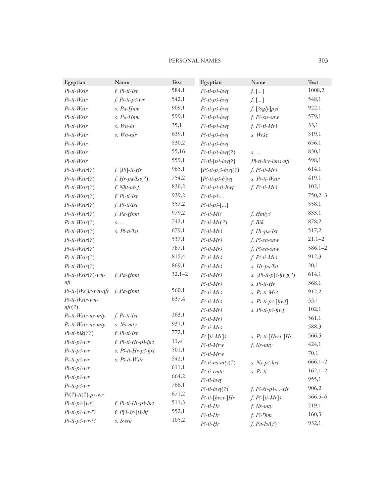#### PERSONAL NAMES 303

| Egyptian                        | Name                  | <b>Text</b> | Egyptian            | Name                         | Text         |
|---------------------------------|-----------------------|-------------|---------------------|------------------------------|--------------|
| $P-ti-Wsir$                     | $f. P3-ti-Ist$        | 584,1       | $P3-ti-p3-hw$       | $f.$ []                      | 1008,2       |
| $P-ti-Wsir$                     | $f. P3-ti-p3-wr$      | 542,1       | $P3-ti-p3-hw$       | $f.$ []                      | 548,1        |
| $P-ti-Wsir$                     | s. Pa-Hnm             | 909,1       | $P3-ti-p3-hw$       | $f.$ [3sgly] $pyt$           | 922,1        |
| $P-ti-Wsir$                     | s. Pa-Hnm             | 599,1       | $P$ 3-ti-p3-hwt     | $f.$ $P$ -sn-snw             | 579,1        |
| $P-ti-Wsir$                     | s. Wn-hr              | 35,1        | $P3-ti-p3-hw$       | $f. P3-ti-Mr3$               | 33,1         |
| $P-ti-Wsir$                     | $s.$ Wn-nfr           | 639,1       | $P$ 3-ti-p3-hwt     | s. Wrše                      | 519,1        |
| $P-ti-Wsir$                     |                       | 530,2       | $P$ 3-ti-p3-hwt     |                              | 656,1        |
| $P-ti-Wsir$                     |                       | 55,16       | $P3-ti-p3-hw(t?)$   | $S.$                         | 830,1        |
| $P-ti-Wsir$                     |                       | 559,1       | $P3-ti-[p3-hwt!]$   | P3-ti-iry-hms-nfr            | 598,1        |
| $P-ti-Wsir(?)$                  | $f.$ [ $B$ ]-ti-Hr    | 965,1       | $[P3-ti-p]3-hw(t?)$ | $f. P3-ti-Mr3$               | 614,1        |
| $P-ti-Wsir(?)$                  | $f. Hr$ -pa- $Ist(?)$ | 754,2       | $[P3-ti-p3-h]$ wt   | s. P3-ti-Wsir                | 419,1        |
| $P-ti-Wsir(?)$                  | $f. Nht-nb.f$         | 830,2       | P3-ti-p3-ti-hwt     | $f. P3-ti-Mr3$               | 102,1        |
| $P-ti-Wsir(?)$                  | $f. P3-ti-Ist$        | 939,2       | $P3-ti-p3$ -        |                              | $750,2-3$    |
| $P-ti-Wsir(?)$                  | $f. P3-ti-Ist$        | 557,2       | $P3-ti-p3-$ []      |                              | 558,1        |
| $P-ti-Wsir(?)$                  | f. Pa-Hnm             | 979,2       | $P3-ti-Ml3$         | f. Hmty3                     | 833,1        |
| $P-ti-Wsir(?)$                  | $S.$                  | 742,1       | $P3-ti-Mr(?)$       | f. Bik                       | 878,2        |
| $P-ti-Wsir(?)$                  | s. P3-ti-Ist          | 679,1       | $P3-ti-Mr3$         | f. Hr-pa-Ist                 | 517,2        |
| $P-ti-Wsir(?)$                  |                       | 537,1       | $P3-ti-Mr3$         | $f.$ $P$ -sn-snw             | $21,1-2$     |
| $P-ti-Wsir(?)$                  |                       | 787,1       | $P3-ti-Mr3$         | $f.$ $P$ -sn-snw             | $586,1-2$    |
| $P-ti-Wsir(?)$                  |                       | 815,4       | $P3-ti-Mr3$         | $f. P3-ti-Mr3$               | 912,3        |
| $P-ti-Wsir(?)$                  |                       | 869,1       | $P3-ti-Mr3$         | s. Hr-pa-Ist                 | 20,1         |
| $P$ 3-ti- $W$ sir(?)-wn-        | $f. Pa-Hnm$           | $32,1-2$    | $P3-ti-Mr3$         | s. $[P3-ti-p]3-hwt(?)$       | 614,1        |
| nfr                             |                       |             | $P3-ti-Mr3$         | $s.$ $B$ -ti- $Hr$           | 368,1        |
| P3-ti-[Ws]ir-wn-nfr f. Pa-Hnm   |                       | 560,1       | $P3-ti-Mr3$         | $s.$ $B$ -ti- $Mr3$          | 912,2        |
| P3-ti-Wsir-wn-                  |                       | 637,4       | $P3-ti-Mr3$         | $s.$ $B$ -ti- $p$ 3- $[hwt]$ | 33,1         |
| nfr(?)                          |                       |             | $P3-ti-Mr3$         | $s.$ $P3-ti-p3-hwt$          | 102,1        |
| P3-ti-Wsir-ns-mty               | $f. P3-ti-1st$        | 263,1       | $P3-ti-Mr3$         |                              | 561,1        |
| P3-ti-Wsir-ns-mty               | s. Ns-mty             | 931,1       | $P3-ti-Mr3$         |                              | 588,3        |
| $P-ti-bik(??)$                  | $f. P3-ti-1st$        | 772,1       | $P3$ -[ti-Mr]3      | $s. P3-ti-Hw.t-Hr$           | 566,5        |
| $P3-ti-p3-wr$                   | f. P3-ti-Hr-p3-hrt    | 11,4        | P3-ti-Mrw           | $f.$ Ns- $mty$               | 424,1        |
| $P$ -ti-p3-wr                   | s. P3-ti-Hr-p3-hrt    | 501,1       | P3-ti-Mrw           |                              | 70,1         |
| $P3-ti-p3-wr$                   | s. P3-ti-Wsir         | 542,1       | $P-ti-ns-mty(?)$    | $s.$ Ns- $p3$ -hrt           | $666, 1 - 2$ |
| $P3-ti-p3-wr$                   |                       | 611,1       | P3-ti-rmte          | $s.$ $B$ -ti                 | $162, 1 - 2$ |
| $P$ -ti-p3-wr                   |                       | 664,2       | P3-ti-hwț           |                              | 955,1        |
| $P$ -ti-p3-wr                   |                       | 766,1       | $P3-ti-hwt(?)$      | $f. P5r-p3-Hr$               | 906,2        |
| $P(?)$ -ti(?)-p3-wr             |                       | 671,2       | $P3-ti-[hw.t.]Hr$   | $f. P3-[ti-Mr]3$             | $566,5 - 6$  |
| $P3-ti-p3-[wr]$                 | f. P3-ti-Hr-p3-hrt    | 511,3       | $P3-ti-Hr$          | $f.$ Ns- $mty$               | 219,1        |
| $P3-ti-p3-wr-5$                 | $f. P[3-8r-]t3-hf$    | 552,1       | $P3-ti-Hr$          | $f. P3$ - $h$ m              | 160,3        |
| $P$ 3-ti-p3-wr- $\mathcal{F}$ 3 | s. Swre               | 105,2       | $P3-ti-Hr$          | $f. Pa-Ist(?)$               | 932,1        |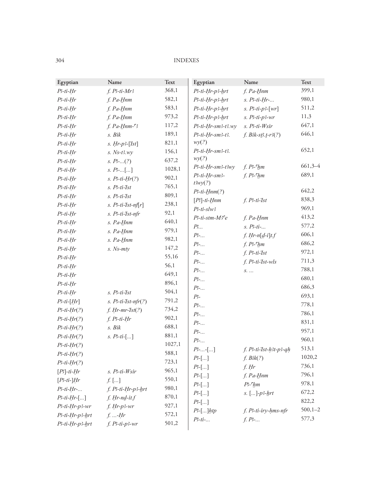| Egyptian          | Name                     | Text   | Egyptian                        | Name                   | Text         |
|-------------------|--------------------------|--------|---------------------------------|------------------------|--------------|
| $P3-ti-Hr$        | $f. P3-ti-Mr3$           | 368,1  | P3-ti-Hr-p3-hrt                 | f. Pa-Hnm              | 399,1        |
| $P$ 3-ti-Hr       | f. Pa-Hnm                | 582,1  | P3-ti-Hr-p3-hrt                 | $s.$ $P3-ti-Hr-$       | 980,1        |
| $P$ 3-ti-Hr       | f. Pa-Hnm                | 583,1  | P3-ti-Hr-p3-hrt                 | s. $P-1i-p-1\ wr$      | 511,2        |
| $P$ 3-ti-Hr       | f. Pa-Hnm                | 973,2  | P3-ti-Hr-p3-hrt                 | $s.$ $P3-ti-p3-wr$     | 11,3         |
| $P$ 3-ti-Hr       | $f. Pa-Hnm-S$            | 117,2  | P3-ti-Hr-sm3-t3.wy              | s. Ps-ti-Wsir          | 647,1        |
| $P$ 3-ti-Hr       | s. Bik                   | 189,1  | P3-ti-Hr-sm3-t3.                | $f. Bik-sB.t-r3(?)$    | 646,1        |
| $P3-ti-Hr$        | $s. Hr-p3-[Tst]$         | 821,1  | wy(?)                           |                        |              |
| $P3-ti-Hr$        | $s.$ Ns-t3.wy            | 156,1  | P3-ti-Hr-sm3-t3.                |                        | 652,1        |
| $P$ 3-ti-Hr       | s. $P_2$ (?)             | 637,2  | wy(?)                           |                        |              |
| $P$ 3-ti-Hr       | $s. P3$ -[]              | 1028,1 | P3-ti-Hr-sm3-t3wy               | $f. P3$ - $hm$         | $661,3-4$    |
| $P$ 3-ti-Hr       | $s. P3-ti-Hr(?)$         | 902,1  | P3-ti-Hr-sm3-                   | $f. P3$ - $hm$         | 689,1        |
| $P$ 3-ti-Hr       | s. P <sup>3-ti-Tst</sup> | 765,1  | t3wy(?)                         |                        | 642,2        |
| $P$ 3-ti-Hr       | s. P3-ti-Ist             | 809,1  | $P3-ti-Hnm(?)$<br>$[P]$ -ti-Hnm | $f. P3-ti-Ist$         | 838,3        |
| $P3-ti-Hr$        | $s.$ $P3-ti-Ist-nf[r]$   | 238,1  | $P3-ti-slw3$                    |                        | 969,1        |
| $P$ 3-ti-Hr       | s. P3-ti-Ist-nfr         | 92,1   | P3-ti-stm-M3ce                  | f. Pa-Hnm              | 413,2        |
| $P$ 3-ti-Hr       | s. Pa-Hnm                | 640,1  | $P$                             | $s.$ $B$ -ti-          | 577,2        |
| $P$ 3-ti-Hr       | s. Pa-Hnm                | 979,1  | $P$                             | $f. Hr-n[d-i]t.f$      | 606,1        |
| $P$ 3-ti-Hr       | s. Pa-Hnm                | 982,1  | $P$ -                           | $f. P3$ - $h$ m        | 686,2        |
| $P$ 3-ti-Hr       | $s.$ Ns- $mty$           | 147,2  | $P$ -                           | $f. P3-ti-Ist$         | 972,1        |
| $P$ 3-ti-Hr       |                          | 55,16  | $P$ -                           | $f.$ $P3-ti-Ist-wls$   | 711,3        |
| $P$ 3-ti-Hr       |                          | 56,1   | $P$                             | S.                     | 788,1        |
| $P3-ti-Hr$        |                          | 649,1  | $P$ -                           |                        | 680,1        |
| $P$ 3-ti-Hr       |                          | 896,1  | $P_2$                           |                        | 686,3        |
| $P$ 3-ti-Hr       | s. P <sup>3-ti-Tst</sup> | 504,1  | P <sub>5</sub>                  |                        | 693,1        |
| $P-ti-[Hr]$       | $s.$ $P3-ti-Ist-nfr(?)$  | 791,2  | $P$ -                           |                        | 778,1        |
| $P-ti-Hr(?)$      | $f. Hr-mr-Ist(?)$        | 734,2  | $P$ -                           |                        | 786,1        |
| $P-ti-Hr(?)$      | $f. P3-ti-Hr$            | 902,1  | $P$                             |                        | 831,1        |
| $P-ti-Hr(?)$      | s. Bik                   | 688,1  | $P$ -                           |                        | 957,1        |
| $P-ti-Hr(?)$      | s. $P3-ti-[]$            | 881,1  | $P$ -                           |                        | 960,1        |
| $P-ti-Hr(?)$      |                          | 1027,1 | $P$ --[]                        | f. P3-ti-Ist-h3t-p3-qh | 513,1        |
| $P-ti-Hr(?)$      |                          | 588,1  | $P^2$ -[]                       | f. Bik(?)              | 1020,2       |
| $P-ti-Hr(?)$      |                          | 723,1  | $P[-.]$                         | $f.$ Hr                | 736,1        |
| $[P3]-ti-Hr$      | s. P3-ti-Wsir            | 965,1  | $P[-.]$                         | $f. Pa-Hnm$            | 796,1        |
| $[P3-ti-]Hr$      | $f.$ []                  | 550,1  | $P^2$ -[]                       | $P3$ - $hm$            | 978,1        |
| $P3-ti-Hr-$       | f. P3-ti-Hr-p3-hrt       | 980,1  | $P^2$ []                        | $s.$ []- $p3$ - $hrt$  | 672,2        |
| $P3-ti-Hr-[]$     | f. Hr-nd-it.f            | 870,1  | $P^2$ -[]                       |                        | 822,2        |
| $P$ 3-ti-Hr-p3-wr | $f. Hr-p3-wr$            | 927,1  | $P$ <sup>2</sup> -[] $htp$      | f. P3-ti-iry-hms-nfr   | $500, 1 - 2$ |
| P3-ti-Hr-p3-hrt   | $f.$ - $Hr$              | 572,1  | $P-1-i$                         | $f. P^2$               | 577,3        |
| P3-ti-Hr-p3-hrt   | $f. P3-ti-p3-wr$         | 501,2  |                                 |                        |              |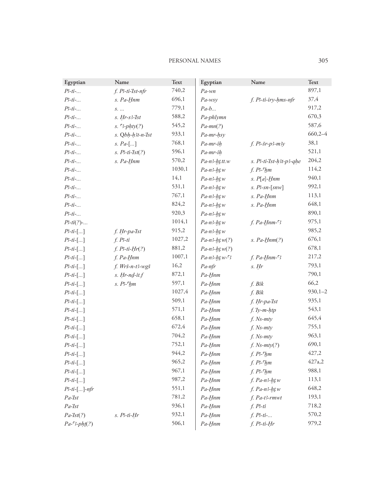| Egyptian        | Name                            | Text   | Egyptian             | Name                    | Text        |
|-----------------|---------------------------------|--------|----------------------|-------------------------|-------------|
| $P3-ti$ -       | f. P3-ti-Ist-nfr                | 740,2  | $Pa$ -wn             |                         | 897,1       |
| $P3-ti$ -       | s. Pa-Hnm                       | 696,1  | $Pa$ -wsy            | f. P3-ti-iry-hms-nfr    | 37,4        |
| $P3-ti$ -       | $S.$                            | 779,1  | $Pa-b$               |                         | 917,2       |
| $P3-ti$ -       | $s.$ Hr- $s3$ - $\frac{7}{5}st$ | 588,2  | Pa-phlymn            |                         | 670,3       |
| $P3-ti$ -       | s. $3-{\text{phy}}(?)$          | 545,2  | $Pa-mn(?)$           |                         | 587,6       |
| $P3-ti$ -       | s. Qbh-h3t-n-Ist                | 933,1  | Pa-mr-hsy            |                         | $660,2 - 4$ |
| $P3-ti$ -       | s. $Pa$ -[]                     | 768,1  | $Pa$ - $mr$ -ih      | $f. P3-5r-p3-m3y$       | 38,1        |
| $P3-ti$ -       | $s.$ $P3-ti-Ist(?)$             | 596,1  | Pa-mr-ih             |                         | 521,1       |
| $P3-ti$ -       | s. Pa-Hnm                       | 570,2  | $Pa$ -n3- $ht$ . $w$ | s. P3-ti-Ist-h3t-p3-qhe | 204,2       |
| $P3-ti$ -       |                                 | 1030,1 | $Pa-n3-ht.w$         | $f. P3$ - $f$ m         | 114,2       |
| $P3-ti$ -       |                                 | 14,1   | $Pa-n3-ht.w$         | $s. P[a]-Hnm$           | 940,1       |
| $P3-ti$ -       |                                 | 531,1  | $Pa-n3-ht.w$         | $s.$ $P - sn - [snw]$   | 992,1       |
| $P3-ti$ -       |                                 | 767,1  | $Pa-n3-ht.w$         | s. Pa-Hnm               | 113,1       |
| $P3-ti$ -       |                                 | 824,2  | $Pa-n3-ht.w$         | s. Pa-Hnm               | 648,1       |
| $P3-ti$ -       |                                 | 920,3  | $Pa-n3-ht.w$         |                         | 890,1       |
| $P3-ti(?)-$     |                                 | 1014,1 | $Pa-n3-ht.w$         | $f. Pa-Hnm-S$           | 975,1       |
| $P3-ti-[]$      | f. Hr-pa-Ist                    | 915,2  | $Pa-n3-ht.w$         |                         | 985,2       |
| $P3-ti$ -[]     | $f. P3-ti$                      | 1027,2 | $Pa-n3-ht w(?)$      | s. $Pa-Hnm(?)$          | 676,1       |
| $P3-ti$ -[]     | $f. P3-ti-Hr(?)$                | 881,2  | $Pa-n3-ht.w(?)$      |                         | 678,1       |
| $P3-ti$ -[]     | f. Pa-Hnm                       | 1007,1 | $Pa-n3-htw-3$        | $f. Pa-Hnm-S$           | 217,2       |
| $P3-ti$ -[]     | f. Wrš-n-t3-wgš                 | 16,2   | Pa-nfr               | $s.$ Hr                 | 793,1       |
| $P3-ti$ -[]     | $s.$ Hr- $nd$ -it. $f$          | 872,1  | Pa-Hnm               |                         | 790,1       |
| $P3-ti-[]$      | $s.$ $P3$ - $h$ m               | 597,1  | Pa-Hnm               | f. Bik                  | 66,2        |
| $P3-ti$ -[]     |                                 | 1027,4 | Pa-Hnm               | f. Bik                  | $930,1 - 2$ |
| $P3-ti$ -[]     |                                 | 509,1  | Pa-Hnm               | f. Hr-pa-Ist            | 935,1       |
| $P3-ti$ -[]     |                                 | 571,1  | Pa-Hnm               | $f.$ Ty- $m$ -htp       | 543,1       |
| $P3-ti$ -[]     |                                 | 658,1  | Pa-Hnm               | $f.$ Ns- $mty$          | 645,4       |
| $P3-ti$ -[]     |                                 | 672,4  | Pa-Hnm               | $f.$ Ns- $mty$          | 755,1       |
| $P3-ti-[]$      |                                 | 704,2  | Pa-Hnm               | $f.$ Ns- $mty$          | 963,1       |
| $P3-ti$ -[]     |                                 | 752,1  | $Pa- Hnm$            | $f.$ Ns- $mty(?)$       | 690,1       |
| $P3-ti$ -[]     |                                 | 944,2  | Pa-Hnm               | $f. P3$ - $f$ $dm$      | 427,2       |
| $P3-ti$ -[]     |                                 | 965,2  | Pa-Hnm               | $f. P3$ - $M$           | 427a,2      |
| $P3-ti$ -[]     |                                 | 967,1  | Pa-Hnm               | $f. P3$ - $f$ $hm$      | 988,1       |
| $P3-ti$ -[]     |                                 | 987,2  | Pa-Hnm               | $f.$ Pa- $n3$ - $htw$   | 113,1       |
| $P3-ti$ -[]-nfr |                                 | 551,1  | Pa-Hnm               | $f. Pa-n3-ht.w$         | 648,2       |
| $Pa$ -Ist       |                                 | 781,2  | Pa-Hnm               | $f. Pa-t3-rmwt$         | 193,1       |
| $Pa$ -Ist       |                                 | 936,1  | Pa-Hnm               | f. P <sub>5</sub> t     | 718,2       |
| $Pa$ - $Ist(?)$ | $s.$ $B$ -ti- $Hr$              | 932,1  | Pa-Hnm               | $f. P3-ti-.$            | 570,2       |
| $Pa-3-phi(?)$   |                                 | 506,1  | Pa-Hnm               | $f. P3-ti-Hr$           | 979,2       |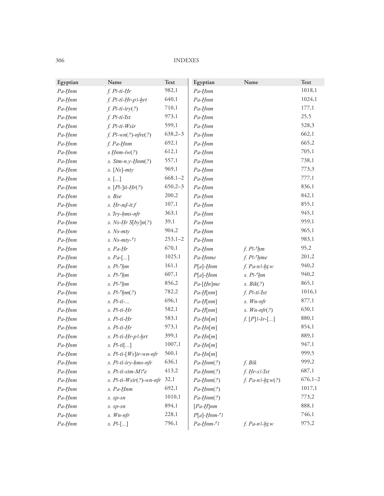| Egyptian  | Name                               | Text        | Egyptian                               | Name                       | Text        |
|-----------|------------------------------------|-------------|----------------------------------------|----------------------------|-------------|
| $Pa-Hnm$  | $f.$ $B$ -ti- $Hr$                 | 982,1       | Pa-Hnm                                 |                            | 1018,1      |
| $Pa- Hnm$ | f. P3-ti-Hr-p3-hrt                 | 640,1       | Pa-Hnm                                 |                            | 1024,1      |
| $Pa- Hnm$ | $f.$ $P5$ -ti-iry $(?)$            | 710,1       | Pa-Hnm                                 |                            | 177,1       |
| Pa-Hnm    | $f.$ $B$ -ti- $I$ st               | 973,1       | Pa-Hnm                                 |                            | 25,5        |
| $Pa- Hnm$ | f. Ps-ti-Wsir                      | 599,1       | Pa-Hnm                                 |                            | 528,3       |
| $Pa- Hnm$ | $f. B-wn(?)$ -nfre $(?)$           | $638,2-3$   | Pa-Hnm                                 |                            | 662,1       |
| Pa-Hnm    | f. Pa-Hnm                          | 692,1       | Pa-Hnm                                 |                            | 665,2       |
| $Pa- Hnm$ | $s \underline{H}$ nm- $iw(?)$      | 612,1       | Pa-Hnm                                 |                            | 705,1       |
| $Pa- Hnm$ | s. $Stm-n.y-Hnm(?)$                | 557,1       | Pa-Hnm                                 |                            | 738,1       |
| Pa-Hnm    | $s.$ [Ns]- $mty$                   | 969,1       | Pa-Hnm                                 |                            | 773,3       |
| $Pa- Hnm$ | $S.$ $\left[ \dots \right]$        | $668,1 - 2$ | Pa-Hnm                                 |                            | 777,1       |
| $Pa- Hnm$ | $s. [B-]ti-Hr(?)$                  | $650,2-3$   | Pa-Hnm                                 |                            | 836,1       |
| Pa-Hnm    | s. Bse                             | 200,2       | Pa-Hnm                                 |                            | 842,1       |
| $Pa- Hnm$ | $s.$ Hr- $nd$ -it. $f$             | 107,1       | Pa-Hnm                                 |                            | 855,1       |
| $Pa- Hnm$ | s. Try-hms-nfr                     | 363,1       | Pa-Hnm                                 |                            | 945,1       |
| Pa-Hnm    | s. Ns-Hr $S[by]n(?)$               | 39,1        | Pa-Hnm                                 |                            | 959,1       |
| $Pa- Hnm$ | s. Ns-mty                          | 904,2       | Pa-Hnm                                 |                            | 965,1       |
| $Pa- Hnm$ | $s.$ Ns- $mty$ - $\sqrt{3}$        | $253,1-2$   | Pa-Hnm                                 |                            | 983,1       |
| Pa-Hnm    | s. Pa-Hr                           | 670,1       | Pa-Hnm                                 | $f. P3$ - $h$ m            | 95,2        |
| $Pa- Hnm$ | s. $Pa$ -[]                        | 1025,1      | Pa-Hnme                                | $f.$ $P3$ - $^{\circ}$ hme | 201,2       |
| $Pa- Hnm$ | $s.$ $P3$ - $h$ m                  | 161,1       | $P[a]$ -Hnm                            | $f. Pa-n3-ht$ w            | 940,2       |
| $Pa- Hnm$ | $s.$ $P3$ - $h$ m                  | 607,1       | $P[a]$ -Hnm                            | $s.$ $P3$ - $h$ m          | 940,2       |
| Pa-Hnm    | $s.$ $P3$ - $h$ m                  | 856,2       | $Pa$ -[Hn]me                           | s. Bik(?)                  | 865,1       |
| $Pa- Hnm$ | s. $P3$ - $\frac{\epsilon}{hm(?)}$ | 782,2       | $Pa - H \ceil nm$                      | $f. P3-ti-1st$             | 1016,1      |
| $Pa- Hnm$ | $s.$ $B$ -ti-                      | 696,1       | $Pa - H[nm]$                           | $s.$ Wn-nfr                | 877,1       |
| $Pa- Hnm$ | $s.$ $P3-ti-Hr$                    | 582,1       | $Pa - H[nm]$                           | $s.$ Wn-nfr $(?)$          | 630,1       |
| $Pa- Hnm$ | $s.$ $P3-ti-Hr$                    | 583,1       | $Pa-Hn[m]$                             | $f. [P]$ 3-šr-[]           | 880,1       |
| $Pa- Hnm$ | $s.$ $B$ -ti- $Hr$                 | 973,1       | $Pa-Hn[m]$                             |                            | 854,1       |
| Pa-Hnm    | s. P3-ti-Hr-p3-hrt                 | 399,1       | $Pa-Hn[m]$                             |                            | 889,1       |
| $Pa- Hnm$ | $s. P3-ti$ []                      | 1007,1      | $Pa- Hn[m]$                            |                            | 947,1       |
| $Pa- Hnm$ | s. $P3-ti-[Ws]ir-wn-nfr$           | 560,1       | $Pa - Hn[m]$                           |                            | 999,5       |
| Pa-Hnm    | s. P3-ti-iry-hms-nfr               | 636,1       | $Pa- Hnm(?)$                           | f. Bik                     | 999,2       |
| $Pa- Hnm$ | s. P3-ti-stm-M3ce                  | 413,2       | $Pa-Hnm(?)$                            | $f. Hr-s3-Ist$             | 687,1       |
| Pa-Hnm    | s. $P3-ti-Wsir(?)$ -wn-nfr         | 32,1        | $Pa- Hnm(?)$                           | $f. Pa-n3-ht.w(?)$         | $676,1 - 2$ |
| $Pa-Hnm$  | s. Pa-Hnm                          | 692,1       | $Pa- Hnm(?)$                           |                            | 1017,1      |
| Pa-Hnm    | s. sp-sn                           | 1010,1      | $Pa- Hnm(?)$                           |                            | 773,2       |
| $Pa-Hnm$  | $s.$ $sp$ - $sn$                   | 894,1       | $[Pa- H]$ nm                           |                            | 888,1       |
| $Pa- Hnm$ | $s.$ Wn-nfr                        | 228,1       | $P[a]-Hnm-c$                           |                            | 746,1       |
| $Pa- Hnm$ | $s. P1$ ]                          | 796,1       | $Pa- Hnm-$ <sup><math>c</math></sup> 3 | $f. Pa-n3-ht$ w            | 975,2       |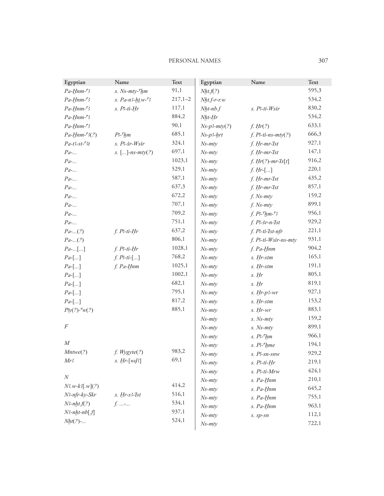#### PERSONAL NAMES 307

| Egyptian          | Name                       | Text      | Egyptian       | Name                    | Text  |
|-------------------|----------------------------|-----------|----------------|-------------------------|-------|
| $Pa-Hnm-$ 3       | s. Ns-mty- <sup>c</sup> hm | 91,1      | Nht.f(?)       |                         | 595,3 |
| $Pa-Hnm-$ 3       | s. $Pa - n3-ht w - 3$      | $217,1-2$ | $Nht.f-r-w$    |                         | 534,2 |
| $Pa-Hnm-$ 3       | $s.$ $B$ -ti- $Hr$         | 117,1     | $Nht$ - $nb.f$ | s. Ps-ti-Wsir           | 830,2 |
| $Pa-Hnm-$ 3       |                            | 884,2     | $Nht-Hr$       |                         | 534,2 |
| $Pa- Hnm-$        |                            | 90,1      | $Ns-p3-mty(?)$ | f. Hr(?)                | 633,1 |
| $Pa- Hnm-c3(?)$   | $P^2$ - $hm$               | 685,1     | $Ns-p3-hrt$    | $f.$ $B$ -ti-ns-mty(?)  | 666,3 |
| $Pa-t3-st-3t$     | s. P3-šr-Wsir              | 324,1     | $Ns-mty$       | f. Hr-mr-Ist            | 927,1 |
| $Pa$ -            | $s.$ []-ns-mty(?)          | 697,1     | $Ns-mty$       | f. Hr-mr-Ist            | 147,1 |
| $Pa$ -            |                            | 1023,1    | $Ns-mty$       | $f. Hr(?)$ -mr- $Is[t]$ | 916,2 |
| $Pa$ -            |                            | 529,1     | $Ns-mty$       | $f. Hr$ -[]             | 220,1 |
| $Pa$ -            |                            | 587,1     | $Ns-mty$       | f. Hr-mr-Ist            | 435,2 |
| $Pa$ -            |                            | 637,3     | $Ns-mty$       | f. Hr-mr-Ist            | 857,1 |
| $Pa$ -            |                            | 672,2     | $Ns-mty$       | $f.$ Ns- $mty$          | 159,2 |
| $Pa$ -            |                            | 707,1     | $Ns-mty$       | $f.$ Ns- $mty$          | 899,1 |
| $Pa$ -            |                            | 709,2     | $Ns-mty$       | $f. P3$ - $M-3$         | 956,1 |
| $Pa$ -            |                            | 751,1     | $Ns-mty$       | $f. P3-5r-n-1st$        | 929,2 |
| $Pa$ -(?)         | $f. P3-ti-Hr$              | 637,2     | $Ns-mty$       | f. P3-ti-Ist-nfr        | 221,1 |
| $Pa$ -(?)         |                            | 806,1     | $Ns-mty$       | f. P3-ti-Wsir-ns-mty    | 931,1 |
| $Pa$ - $[]$       | $f. P3-ti-Hr$              | 1028,1    | $Ns-mty$       | f. Pa-Hnm               | 904,2 |
| $Pa-[]$           | $f. P3-ti-$ []             | 768,2     | $Ns-mty$       | s. Hr-stm               | 165,1 |
| $Pa-[]$           | f. Pa-Hnm                  | 1025,1    | $Ns-mty$       | s. Hr-stm               | 191,1 |
| $Pa-[]$           |                            | 1002,1    | $Ns-mty$       | s. Hr                   | 805,1 |
| $Pa-[]$           |                            | 682,1     | $Ns-mty$       | s. Hr                   | 819,1 |
| $Pa-[]$           |                            | 795,1     | $Ns-mty$       | $s.$ Hr- $p3$ -wr       | 927,1 |
| $Pa-[]$           |                            | 817,2     | $Ns-mty$       | s. Hr-stm               | 153,2 |
| $By(?)$ - $w(?)$  |                            | 885,1     | $Ns-mty$       | s. Hr-wr                | 883,1 |
|                   |                            |           | $Ns-mty$       | $s.$ Ns- $mty$          | 159,2 |
| $\boldsymbol{F}$  |                            |           | $Ns-mty$       | s. Ns-mty               | 899,1 |
|                   |                            |           | $Ns-mty$       | $s.$ $P3$ - $h$ m       | 966,1 |
| M                 |                            |           | $Ns-mty$       | s. P3-chme              | 194,1 |
| Mntwe(?)          | $f.$ Wygyte $(?)$          | 983,2     | $Ns- mty$      | s. Ps-sn-snw            | 929,2 |
| Mr3               | $s.$ Hr- $[wd3]$           | 69,1      | $Ns-mty$       | s. Ps-ti-Hr             | 219,1 |
|                   |                            |           | $Ns-mty$       | s. P3-ti-Mrw            | 424,1 |
| N                 |                            |           | $Ns-mty$       | s. Pa-Hnm               | 210,1 |
| $N3.w-k3[w](?)$   |                            | 414,2     | $Ns-mty$       | s. Pa-Hnm               | 645,2 |
| N3-nfr-ky-Skr     | $s.$ Hr- $s3$ -Ist         | 516,1     | $Ns-mty$       | s. Pa-Hnm               | 755,1 |
| $N3$ -nht. $f(?)$ | $f$ . -                    | 534,1     | $Ns-mty$       | s. Pa-Hnm               | 963,1 |
| $N3$ -nht-nb[.f]  |                            | 937,1     | $Ns-mty$       | s. sp-sn                | 112,1 |
| $Nht(?)$ -        |                            | 524,1     | $Ns-mty$       |                         | 722,1 |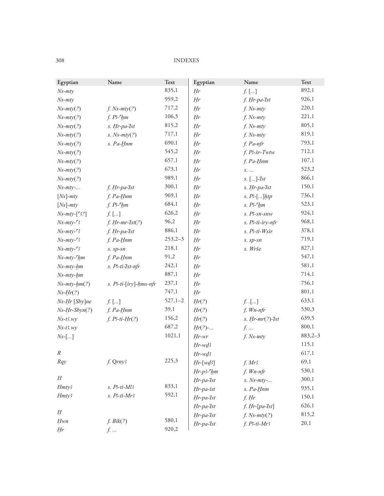| Egyptian                                      | Name                   | Text        | Egyptian        | Name                  | Text      |
|-----------------------------------------------|------------------------|-------------|-----------------|-----------------------|-----------|
| $Ns-mty$                                      |                        | 835,1       | Hr              | $f.$ []               | 892,1     |
| $Ns-mty$                                      |                        | 959,2       | Hr              | f. Hr-pa-Ist          | 926,1     |
| $Ns-mty(?)$                                   | $f.$ Ns- $mty(?)$      | 717,2       | Hr              | $f.$ Ns- $mty$        | 220,1     |
| $Ns-mty(?)$                                   | $f. P3$ - $f$ $hm$     | 106,3       | Hr              | $f.$ Ns- $mty$        | 221,1     |
| $Ns-mty(?)$                                   | s. Hr-pa-Ist           | 815,2       | Hr              | $f.$ Ns- $mty$        | 805,1     |
| $Ns-mty(?)$                                   | s. $Ns-mty(?)$         | 717,1       | Hr              | f. Ns-mty             | 819,1     |
| $Ns-mty(?)$                                   | s. Pa-Hnm              | 690,1       | Hr              | f. Pa-nfr             | 793,1     |
| $Ns-mty(?)$                                   |                        | 545,2       | Hr              | f. P3-šr-Twtw         | 712,1     |
| $Ns-mty(?)$                                   |                        | 657,1       | Hr              | $f. Pa-Hnm$           | 107,1     |
| $Ns-mty(?)$                                   |                        | 673,1       | Hr              | $S.$                  | 523,2     |
| $Ns-mty(?)$                                   |                        | 989,1       | Hr              | $s.$ []- $7st$        | 866,1     |
| $Ns-mty-$                                     | f. Hr-pa-Ist           | 300,1       | Hr              | s. Hr-pa-Ist          | 150,1     |
| $[Ns]$ - $mty$                                | f. Pa-Hnm              | 969,1       | Hr              | $s. P5$ ]htp          | 736,1     |
| $[Ns]$ - $mty$                                | $f. P3$ - $h$ m        | 684,1       | Hr              | $s.$ $B$ - $h$ m      | 523,1     |
| $Ns-mty-[S?]$                                 | $f.$ []                | 626,2       | Hr              | s. Ps-sn-snw          | 924,1     |
| $Ns-mty-$ <sup><math>-</math></sup> 3         | $f. Hr-mr-Ist(?)$      | 96,2        | Hr              | s. Ps-ti-iry-nfr      | 968,1     |
| $Ns-mty-$ <sup><math>-</math></sup> 3         | f. Hr-pa-Ist           | 886,1       | Hr              | s. P3-ti-Wsir         | 378,1     |
| $Ns-mty-5$                                    | f. Pa-Hnm              | $253,2-3$   | Hr              | $s. sp-sn$            | 719,1     |
| $Ns-mty-$ <sup><math>-</math></sup> 3         | s. sp-sn               | 218,1       | Hr              | s. Wrše               | 827,1     |
| $Ns-mty$ <sup>-<math>\epsilon</math></sup> hm | f. Pa-Hnm              | 91,2        | Hr              |                       | 547,1     |
| $Ns-mty-hm$                                   | s. P3-ti-Ist-nfr       | 242,1       | Hr              |                       | 581,1     |
| $Ns-mty-hm$                                   |                        | 887,1       | Hr              |                       | 714,1     |
| $Ns-mty-hm(?)$                                | s. P3-ti-[iry]-hms-nfr | 237,1       | Hr              |                       | 756,1     |
| $Ns-Hr(?)$                                    |                        | 747,1       | $H\!r$          |                       | 801,1     |
| Ns-Hr [Sby]ne                                 | $f.$ []                | $527,1 - 2$ | Hr(?)           | $f.$ .[]              | 633,1     |
| $Ns-Hr-Sbyn(?)$                               | f. Pa-Hnm              | 39,1        | Hr(?)           | f. Wn-nfr             | 530,3     |
| $Ns$ -t3.wy                                   | $f. P3-ti-Hr(?)$       | 156,2       | Hr(?)           | $s.$ Hr- $mr(?)$ -Ist | 639,5     |
| $Ns-t3.wy$                                    |                        | 687,2       | $Hr(?) - $      | $f.$                  | 800,1     |
| $Ns$ -[]                                      |                        | 1021,1      | $Hr$ -wr        | $f.$ Ns- $mty$        | $883,2-3$ |
|                                               |                        |             | $Hr$ -w $d$ 3   |                       | 115,1     |
| $\cal R$                                      |                        |             | Hr-wd3          |                       | 617,1     |
| Rqy                                           | f. Qrny3               | 225,3       | $Hr$ -[wd3]     | $f.$ Mr3              | 69,1      |
|                                               |                        |             | $Hr-p3$ - $6hm$ | $f.$ Wn-nfr           | 530,1     |
| $\cal H$                                      |                        |             | Hr-pa-Ist       | $s.$ Ns- $mty$ -      | 300,1     |
| Hmty3                                         | $s.$ $P3-ti-Ml3$       | 833,1       | Hr-pa-ist       | s. Pa-Hnm             | 935,1     |
| Hmty3                                         | $s.$ $P3-ti-Mr3$       | 592,1       | Hr-pa-Ist       | $f.$ Hr               | 150,1     |
|                                               |                        |             | Hr-pa-Ist       | $f.$ Hr- $[pa$ -Ist]  | 626,1     |
| Ħ                                             |                        |             | Hr-pa-Ist       | $f.$ Ns- $mty(?)$     | 815,2     |
| Hwn                                           | f. Bik(?)              | 580,1       | Hr-pa-Ist       | $f. P3-ti-Mr3$        | 20,1      |
| <b>H<sub>r</sub></b>                          | $f$                    | 920,2       |                 |                       |           |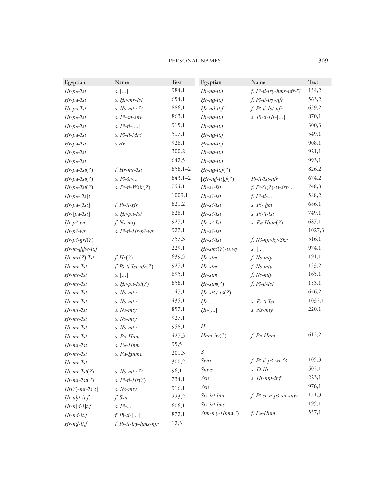#### PERSONAL NAMES 309

| Egyptian             | Name                         | Text        | Egyptian             | Name                                     | <b>Text</b> |
|----------------------|------------------------------|-------------|----------------------|------------------------------------------|-------------|
| Hr-pa-Ist            | $S.$ $\left[ \dots \right]$  | 984,1       | $Hr$ -n $d$ -it.f    | $f.$ $B$ -ti-iry-hms-nfr- $\overline{3}$ | 154,2       |
| Hr-pa-Ist            | s. Hr-mr-Ist                 | 654,1       | $Hr$ -n $d$ -it.f    | f. P3-ti-iry-nfr                         | 563,2       |
| $Hr$ -pa- $7st$      | s. $Ns$ - $mty$ - $\sqrt{3}$ | 886,1       | $Hr$ -n $d$ -it.f    | f. P3-ti-Ist-nfr                         | 659,2       |
| $Hr$ -pa- $7st$      | s. Ps-sn-snw                 | 863,1       | $Hr$ -n $d$ -it.f    | $s.$ $P3-ti-Hr$ -[]                      | 870,1       |
| Hr-pa-Ist            | $s. P3-ti-[]$                | 915,1       | $Hr$ -n $d$ -it. $f$ |                                          | 300,3       |
| Hr-pa-Ist            | $s.$ $P3-ti-Mr3$             | 517,1       | $Hr$ -n $d$ -it.f    |                                          | 549,1       |
| Hr-pa-Ist            | s.Hr                         | 926,1       | $Hr$ -n $d$ -it.f    |                                          | 908,1       |
| Hr-pa-Ist            |                              | 300,2       | $Hr$ -nd-it.f        |                                          | 921,1       |
| Hr-pa-Ist            |                              | 642,5       | $Hr$ -nd-it.f        |                                          | 993,1       |
| $Hr$ -pa- $Ist(?)$   | f. Hr-mr-Ist                 | $858,1 - 2$ | $Hr$ -nd-it. $f(?)$  |                                          | 826,2       |
| $Hr$ -pa- $Ist(?)$   | $s. P3-5r-$                  | $843,1 - 2$ | $[Hr-nd-it].f(?)$    | P3-ti-Ist-nfr                            | 674,2       |
| $Hr$ -pa- $Ist(?)$   | $s. P-ti-Wsir(?)$            | 754,1       | $Hr$ -s3- $Ist$      | $f. B-3(?)-t3-5rt-$                      | 748,3       |
| $Hr$ -pa-[Is]t       |                              | 1009,1      | $Hr$ -s3- $7st$      | $f. P3-ti-.$                             | 588,2       |
| $Hr$ -pa-[ $7st$ ]   | $f. P3-ti-Hr$                | 821,2       | $Hr$ -s3- $7st$      | $s.$ $P3$ - $h$ m                        | 686,1       |
| $Hr$ -[pa- $7st$ ]   | s. Hr-pa-Ist                 | 626,1       | $Hr$ -s3- $7st$      | s. Ps-ti-ist                             | 749,1       |
| $Hr-p3-wr$           | $f.$ Ns- $mty$               | 927,1       | $Hr$ -s3- $7st$      | $s. Pa-Hnm(?)$                           | 687,1       |
| $Hr-p3-wr$           | s. P3-ti-Hr-p3-wr            | 927,1       | $Hr$ -s3- $7st$      |                                          | 1027,3      |
| $Hr-p3-hrt(?)$       |                              | 757,3       | $Hr$ -s3- $7st$      | f. N3-nfr-ky-Skr                         | 516,1       |
| $Hr$ -m- $ddw$ -it.f |                              | 229,1       | $Hr$ -sm3(?)-t3.wy   | $S.$ $\left[ \dots \right]$              | 974,1       |
| $Hr-mr(?)-Ist$       | f. Hr(?)                     | 639,5       | Hr-stm               | $f.$ Ns- $mty$                           | 191,1       |
| Hr-mr-Ist            | $f.$ $P3-ti-Ist-nfr(?)$      | 927,1       | Hr-stm               | $f.$ Ns- $mty$                           | 153,2       |
| Hr-mr-Ist            | $S.$ $\left[ \dots \right]$  | 695,1       | Hr-stm               | $f.$ Ns- $mty$                           | 165,1       |
| Hr-mr-Ist            | $s.$ Hr-pa-Ist $(?)$         | 858,1       | $Hr\text{-}stm(?)$   | $f.$ $B$ -ti- $I$ st                     | 153,1       |
| Hr-mr-Ist            | s. Ns-mty                    | 147,1       | $Hr$ -sß.t-r3(?)     |                                          | 646,2       |
| Hr-mr-Ist            | s. Ns-mty                    | 435,1       | $Hr$ -               | s. Ps-ti-Ist                             | 1032,1      |
| Hr-mr-Ist            | s. Ns-mty                    | 857,1       | $Hr$ -[]             | $s.$ Ns- $mty$                           | 220,1       |
| Hr-mr-Ist            | s. Ns-mty                    | 927,1       |                      |                                          |             |
| $Hr-mr-1st$          | $s.$ Ns- $mty$               | 958,1       | H                    |                                          |             |
| Hr-mr-Ist            | s. Pa-Hnm                    | 427,3       | $Hnm-iw(?)$          | f. Pa-Hnm                                | 612,2       |
| Hr-mr-'Ist           | s. Pa-Hnm                    | 95,5        |                      |                                          |             |
| Hr-mr-Ist            | s. Pa-Hnme                   | 201,3       | $\boldsymbol{S}$     |                                          |             |
| Hr-mr-Ist            |                              | 300,2       | Swre                 | $f. P3-ti-p3-wr-S$                       | 105,3       |
| $Hr-mr-Ist(?)$       | s. $Ns$ - $mty$ - $\sqrt{3}$ | 96,1        | <b>Snws</b>          | $s.$ $D$ - $Hr$                          | 502,1       |
| $Hr-mr-Ist(?)$       | $s.$ $P3-ti-Hr(?)$           | 734,1       | Ssn                  | s. Hr-nht-it.f                           | 223,1       |
| $Hr(?)$ -mr- $Is[t]$ | s. Ns-mty                    | 916,1       | Ssn                  |                                          | 976,1       |
| Hr-nht-it.f          | f. Ssn                       | 223,2       | St3-irt-bin          | $f.$ $B$ -šr-n-p3-sn-snw                 | 151,3       |
| $Hr-n[d-i]t.f$       | $s. P-.$                     | 606,1       | St3-irt-bne          |                                          | 195,1       |
| $Hr$ -n $d$ -it.f    | $f. P3-ti-$ []               | 872,1       | $Stm-n.y-Hnm(?)$     | $f. Pa-Hnm$                              | 557,1       |
| Hr-nd-it.f           | f. P3-ti-iry-hms-nfr         | 12,3        |                      |                                          |             |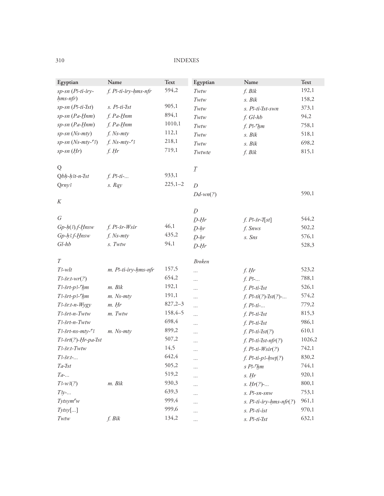| Egyptian                     | Name                        | Text        | Egyptian         | Name                                   | Text   |
|------------------------------|-----------------------------|-------------|------------------|----------------------------------------|--------|
| sp-sn (Ps-ti-iry-            | f. P3-ti-iry-hms-nfr        | 594,2       | Twtw             | f. Bik                                 | 192,1  |
| $hms-nfr)$                   |                             |             | Twtw             | s. Bik                                 | 158,2  |
| $sp$ -sn $(P - t i - I st)$  | s. P3-ti-Ist                | 905,1       | Twtw             | s. P3-ti-Ist-swn                       | 373,1  |
| $sp$ -sn (Pa-Hnm)            | f. Pa-Hnm                   | 894,1       | Twtw             | f. Gl-hb                               | 94,2   |
| $sp$ -sn $(Pa$ -Hnm)         | f. Pa-Hnm                   | 1010,1      | Twtw             | $f. P3$ - $h$ m                        | 758,1  |
| sp-sn (Ns-mty)               | $f.$ Ns- $mty$              | 112,1       | Twtw             | s. Bik                                 | 518,1  |
| $sp-sn(Ns-mty-3)$            | $f.$ Ns- $mty$ - $\sqrt{3}$ | 218,1       | Twtw             | s. Bik                                 | 698,2  |
| $sp$ -sn $(Hr)$              | $f.$ Hr                     | 719,1       | Twtwte           | f. Bik                                 | 815,1  |
| Q                            |                             |             | $\cal I$         |                                        |        |
| $Qbh-h3t-n-1st$              | $f. P3-ti-.$                | 933,1       |                  |                                        |        |
| $Q$ <i>rny</i> $3$           | $s.$ $Rqy$                  | $225,1 - 2$ | $\boldsymbol{D}$ |                                        |        |
|                              |                             |             | $Dd$ -wn $(?)$   |                                        | 590,1  |
| K                            |                             |             |                  |                                        |        |
| G                            |                             |             | D                |                                        |        |
|                              |                             | 46,1        | $D-Hr$           | f. P <sub>5</sub> r <sup>2</sup> T[st] | 544,2  |
| $Gp-h(3)$ .f-Hnsw            | $f. P5r-Wsir$               | 435,2       | $D-hr$           | f. Snws                                | 502,2  |
| Gp-h3.f-Hnsw                 | $f.$ Ns- $mty$              | 94,1        | $D-hr$           | s. Sns                                 | 576,1  |
| $Gl-hb$                      | s. Twtw                     |             | $D-Hr$           |                                        | 528,3  |
| T                            |                             |             | <b>Broken</b>    |                                        |        |
| $T3$ -w $lt$                 | m. P3-ti-iry-hms-nfr        | 157,5       | $\cdots$         | $f.$ Hr                                | 523,2  |
| $T3$ -šr.t-wr $(?)$          |                             | 654,2       | $\cdots$         | $f. P3$ -                              | 788,1  |
| $T3$ -šrt-p3- $9$ m          | m. Bik                      | 192,1       | $\cdots$         | $f. P3-ti-Ist$                         | 526,1  |
| $T3$ -šrt-p3- $9$ m          | $m.$ Ns- $mty$              | 191,1       | $\cdots$         | $f. P3-ti(?)-Ist(?)-$                  | 574,2  |
| $T3$ -šr:t-n- $Wygy$         | $m.$ Hr                     | $827,2-3$   | $\cdots$         | $f. P3-ti-.$                           | 779,2  |
| T3-šrt-n-Twtw                | m. Twtw                     | 158,4-5     | $\cdots$         | $f. P3-ti-Ist$                         | 815,3  |
| T3-šrt-n-Twtw                |                             | 698,4       | $\cdots$         | $f. P3-ti-Ist$                         | 986,1  |
| $T3$ -šrt-ns-mty- $\sqrt{3}$ | $m.$ Ns- $mty$              | 899,2       | $\cdots$         | $f. P3-ti-Ist(?)$                      | 610,1  |
| $T3$ -šrt $(?)$ -Hr-pa-Ist   |                             | 507,2       | $\ldots$         | $f.$ $P3-ti-Ist-nfr(?)$                | 1026,2 |
| T3-šr.t-Twtw                 |                             | 14,5        | $\cdots$         | $f. P3-ti-Wsir(?)$                     | 742,1  |
| $T3 - \frac{5}{5}r t - $     |                             | 642,4       | $\cdots$         | $f. P3-ti-p3-hw(t?)$                   | 830,2  |
| Ta-Ist                       |                             | 505,2       |                  | $s P^{-}hm$                            | 744,1  |
| $Ta$ -                       |                             | 519,2       | .                | $s.$ Hr                                | 920,1  |
| $T3-w3(?)$                   | m. Bik                      | 930,3       | .                | s. $Hr(?)$ -                           | 800,1  |
| $T3y-.$                      |                             | 639,3       |                  | s. Ps-sn-snw                           | 753,1  |
| Tytsym <sup>c</sup> w        |                             | 999,4       | .                | $s.$ $P$ -ti-iry-hms-nfr(?)            | 961,1  |
| $Tytsy$ []                   |                             | 999,6       | $\cdots$         | s. Ps-ti-ist                           | 970,1  |
| $Twtw$                       | f. Bik                      | 134,2       | $\cdots$         | s. Ps-ti-Ist                           | 632,1  |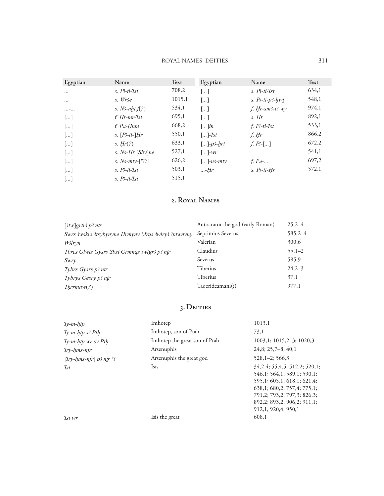#### ROYAL NAMES, DEITIES

| Egyptian              | Name                                        | Text   | Egyptian                                    | Name                       | Text  |
|-----------------------|---------------------------------------------|--------|---------------------------------------------|----------------------------|-------|
|                       |                                             |        |                                             |                            |       |
| $\cdots$              | $s.$ $B$ -ti-Ist                            | 708,2  | […]                                         | $s.$ $B$ -ti-Ist           | 634,1 |
| $\cdots$              | s. Wrše                                     | 1015,1 | $\left[\dots\right]$                        | $s.$ $B$ -ti- $p$ 3- $hwt$ | 548,1 |
| $ - $                 | s. N-nht. $f(?)$                            | 534,1  | $\lceil  \rceil$                            | $f. Hr$ -sm $3$ -t $3. wy$ | 974,1 |
| $\lceil \dots \rceil$ | f. Hr-mr-Ist                                | 695,1  | $\lceil  \rceil$                            | s. Hr                      | 892,1 |
| $[\dots]$             | f. Pa-Hnm                                   | 668,2  | $\lceil \dots \rceil$ in                    | f. $P$ 3-ti- $I$ st        | 533,1 |
| $\lceil \dots \rceil$ | $s.$ [ <i>P<sub>3</sub>-ti-</i> ] <i>Hr</i> | 550,1  | $\left[\ldots\right]$ - <i>Ist</i>          | f. Hr                      | 866,2 |
| $\lceil \dots \rceil$ | s. $Hr(?)$                                  | 633,1  | $\left[  \right]$ - <i>p</i> 3- <u>h</u> rt | $f. P3$ -[]                | 672,2 |
| $\lceil \dots \rceil$ | s. Ns-Hr [Sby]ne                            | 527,1  | $\lceil  \rceil$ -wr                        |                            | 541,1 |
| $\left[\right]$       | s. Ns- $mty$ -[3?]                          | 626,2  | $\lceil  \rceil$ -ns-mty                    | f. $Pa$ -                  | 697,2 |
| $\lceil \dots \rceil$ | $s.$ $B$ -ti-Ist                            | 503,1  | $$ -Hr                                      | $s.$ $B$ -ti- $Hr$         | 572,1 |
| []                    | $s.$ $B$ -ti-Ist                            | 515,1  |                                             |                            |       |

#### 2. ROYAL NAMES

| $[3tw]$ grtr $3$ p $3$ ntr                         | Autocrator the god (early Roman) | $25.2 - 4$ |
|----------------------------------------------------|----------------------------------|------------|
| Swrs 3wskrs 3tsybynyne Hrmyny Mrgs 3wlry3 3ntwnyny | Septimius Severus                | $585,2-4$  |
| W3lryn                                             | Valerian                         | 300,6      |
| Thres Glwts Gysrs Shst Grmngs 3wtgr3 p3 ntr        | Claudius                         | $55,1-2$   |
| Swry                                               | Severus                          | 585,9      |
| Tybrs Gysrs p3 ntr                                 | Tiberius                         | $24.2 - 3$ |
| Tybrys Gesry p3 ntr                                | Tiberius                         | 37,1       |
| Tkrrmnw(?)                                         | Taqerideamani(?)                 | 977,1      |
|                                                    |                                  |            |

#### 3. DEITIES

| $Iv-m-htp$                        | Imhotep                       | 1013,1                                                                                                                                                                                                                         |
|-----------------------------------|-------------------------------|--------------------------------------------------------------------------------------------------------------------------------------------------------------------------------------------------------------------------------|
| $\gamma$ -m-htp s3 Pth            | Imhotep, son of Ptah          | 73,1                                                                                                                                                                                                                           |
| $\gamma$ -m-htp wr sy Pth         | Imhotep the great son of Ptah | 1003,1; 1015,2-3; 1020,3                                                                                                                                                                                                       |
| $Irrv-hms-nfr$                    | Arsenuphis                    | $24,8; 25,7-8; 40,1$                                                                                                                                                                                                           |
| [Try-hms-nfr] $p3$ ntr $\sqrt{3}$ | Arsenuphis the great god      | $528, 1-2$ ; 566,3                                                                                                                                                                                                             |
| 'Ist                              | Isis                          | 34, 2, 4; 55, 4, 5; 512, 2; 520, 1;<br>546.1: 564.1: 589.1: 590.1:<br>595, 1: 605, 1: 618, 1: 621, 4:<br>638,1;680,2;757,4;775,1;<br>791, 2; 793, 2; 797, 3; 826, 3;<br>892, 2; 893, 2; 906, 2; 911, 1;<br>912,1; 920,4; 950,1 |
| 'Ist wr                           | Isis the great                | 608.1                                                                                                                                                                                                                          |

*Ist* wr

Isis the great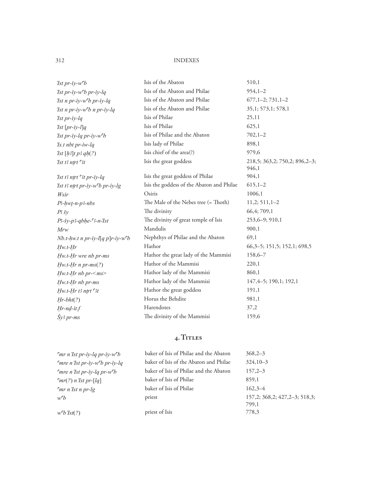| <i>Ist pr-iy-w<sup>c</sup>b</i>                                | Isis of the Abaton                        | 510,1                                  |
|----------------------------------------------------------------|-------------------------------------------|----------------------------------------|
| 'Ist pr-iy-w <sup>c</sup> b pr-iy-lq                           | Isis of the Abaton and Philae             | $954,1-2$                              |
| 'Ist n pr-iy-w'b pr-iy-lq                                      | Isis of the Abaton and Philae             | $677, 1-2; 731, 1-2$                   |
| $\textit{Ist}$ n pr-iy-w <sup>e</sup> b n pr-iy-lq             | Isis of the Abaton and Philae             | 35,1; 573,1; 578,1                     |
| $\int$ Ist pr-iy-lq                                            | Isis of Philae                            | 25,11                                  |
| $\int$ Ist $[pr-iy-l]q$                                        | Isis of Philae                            | 625,1                                  |
| 'Ist pr-iy-lq pr-iy-w <sup>c</sup> b                           | Isis of Philae and the Abaton             | $702,1-2$                              |
| $\mathit{Ts.t}$ nbt pr-iw-lq                                   | Isis lady of Philae                       | 898,1                                  |
| $\int$ Ist $[h^3]$ t p $\int$ gh $(?)$                         | Isis chief of the area(?)                 | 979,6                                  |
| $'Ist$ $B$ ntrt $Gt$                                           | Isis the great goddess                    | 218,5; 363,2; 750,2; 896,2-3;<br>946,1 |
| $\mathcal{I}$ st t $\mathcal{I}$ ntrt $\mathcal{I}$ t pr-iy-lq | Isis the great goddess of Philae          | 904,1                                  |
| $'$ Ist t3 ntrt pr-iy-w $'b$ pr-iy-lg                          | Isis the goddess of the Abaton and Philae | $615,1-2$                              |
| Wsir                                                           | Osiris                                    | 1006,1                                 |
| $P3-hwt-n-p3-nbs$                                              | The Male of the Nebes tree (= Thoth)      | $11,2; 511,1-2$                        |
| $P\ddot{s}$ y                                                  | The divinity                              | 66,4; 709,1                            |
| P3-šy-p3-qbhe-°3-n-'Ist                                        | The divinity of great temple of Isis      | 253, 6-9; 910, 1                       |
| Mrw                                                            | Mandulis                                  | 900,1                                  |
| Nb.t-hw.t n pr-iy-l[q p]r-iy-w $b$                             | Nephthys of Philae and the Abaton         | 69,1                                   |
| $Hw.t-Hr$                                                      | Hathor                                    | $66,3-5$ ; 151,5; 152,1; 698,5         |
| Hw.t-Hr wre nb pr-ms                                           | Hathor the great lady of the Mammisi      | $158,6 - 7$                            |
| $Hw$ t-Hr n pr-ms(?)                                           | Hathor of the Mammisi                     | 220,1                                  |
| Hw.t-Hr nb pr- <ms></ms>                                       | Hathor lady of the Mammisi                | 860,1                                  |
| Hw.t-Hr nb pr-ms                                               | Hathor lady of the Mammisi                | $147, 4-5; 190, 1; 192, 1$             |
| $Hw.t-Hr$ $B$ ntrt $St$                                        | Hathor the great goddess                  | 191,1                                  |
| $Hr-bht(?)$                                                    | Horus the Behdite                         | 981,1                                  |
| $Hr$ -nd-it.f                                                  | Harendotes                                | 37,2                                   |
| Šy3 pr-ms                                                      | The divinity of the Mammisi               | 159,6                                  |

#### 4. TITLES

| $\zeta_{mr}$ n'Ist pr-iy-lq pr-iy-w $\zeta_{b}$     | baker of Isis of Philae and the Abaton | $368,2-3$                                  |
|-----------------------------------------------------|----------------------------------------|--------------------------------------------|
| $\epsilon$ mre n'Ist pr-iy-w $\epsilon$ b pr-iy-lq  | baker of Isis of the Abaton and Philae | $324.10 - 3$                               |
| $\zeta$ mre n'Ist pr-iy-lq pr-w $\zeta$ b           | baker of Isis of Philae and the Abaton | $157,2-3$                                  |
| $\lceil mr(?) \, n \, \text{Ist} \, pr-[lq] \rceil$ | baker of Isis of Philae                | 859.1                                      |
| mr n'Ist n pr-lg                                    | baker of Isis of Philae                | $162.3 - 4$                                |
| wЪ                                                  | priest                                 | $157.2: 368.2: 427.2 - 3: 518.3:$<br>799.1 |
| $w^{\mathsf{c}} b$ <i>Ist</i> $(?)$                 | priest of Isis                         | 778.3                                      |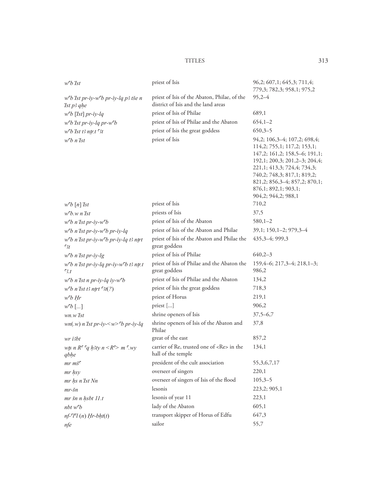#### **TITLES**

| $w^{\mathsf{c}} b$ <i>Ist</i>                                                   | priest of Isis                                                                      | 96,2; 607,1; 645,3; 711,4;<br>779,3; 782,3; 958,1; 975,2                                                                                                                                                                                                                            |
|---------------------------------------------------------------------------------|-------------------------------------------------------------------------------------|-------------------------------------------------------------------------------------------------------------------------------------------------------------------------------------------------------------------------------------------------------------------------------------|
| $wcb$ Ist pr-iy-w $cb$ pr-iy-lq p3 tše n<br>'Ist p3 qhe                         | priest of Isis of the Abaton, Philae, of the<br>district of Isis and the land areas | $95,2-4$                                                                                                                                                                                                                                                                            |
| $w^{\epsilon}b$ [Ist] pr-iy-lq                                                  | priest of Isis of Philae                                                            | 689,1                                                                                                                                                                                                                                                                               |
| $wcb$ <i>Ist pr-iy-lq pr-w</i> $b$                                              | priest of Isis of Philae and the Abaton                                             | $654,1-2$                                                                                                                                                                                                                                                                           |
| $w^{\mathsf{c}} b$ <i>Ist</i> $t$ 3 ntr:t <sup><math>\mathsf{c}_3</math>t</sup> | priest of Isis the great goddess                                                    | $650,3-5$                                                                                                                                                                                                                                                                           |
| $w^c b$ n'Ist                                                                   | priest of Isis                                                                      | 94,2; 106,3-4; 107,2; 698,4;<br>114,2; 755,1; 117,2; 153,1;<br>147, 2; 161, 2; 158, 5-6; 191, 1;<br>192,1; 200,3; 201,2-3; 204,4;<br>221,1; 413,3; 724,4; 734,3;<br>740,2; 748,3; 817,1; 819,2;<br>821, 2; 856, 3-4; 857, 2; 870, 1;<br>876,1; 892,1; 903,1;<br>904,2; 944,2; 988,1 |
| $w^{\mathsf{c}}b[n]$ <i>Ist</i>                                                 | priest of Isis                                                                      | 710,2                                                                                                                                                                                                                                                                               |
| $w^{\mathsf{c}}b.w$ n'Ist                                                       | priests of Isis                                                                     | 37,5                                                                                                                                                                                                                                                                                |
| $wcb$ n'Ist pr-iy-w $b$                                                         | priest of Isis of the Abaton                                                        | $580,1-2$                                                                                                                                                                                                                                                                           |
| $wcb$ n'Ist pr-iy-w $cb$ pr-iy-lq                                               | priest of Isis of the Abaton and Philae                                             | 39,1; 150, 1-2; 979, 3-4                                                                                                                                                                                                                                                            |
| $wcb$ n'Ist pr-iy-w $cb$ pr-iy-lq t3 ntrt<br>$\Im t$                            | priest of Isis of the Abaton and Philae the<br>great goddess                        | 435, 3-4; 999, 3                                                                                                                                                                                                                                                                    |
| $wcb$ n'Ist pr-iy-lg                                                            | priest of Isis of Philae                                                            | $640,2-3$                                                                                                                                                                                                                                                                           |
| $wcb$ n'Ist pr-iy-lq pr-iy-w $b$ t3 ntr.t<br>$\mathcal{B}_{\cdot}$              | priest of Isis of Philae and the Abaton the<br>great goddess                        | $159,4-6; 217,3-4; 218,1-3;$<br>986,2                                                                                                                                                                                                                                               |
| $wcb$ n'Ist n pr-iy-lq iy-w $cb$                                                | priest of Isis of Philae and the Abaton                                             | 134,2                                                                                                                                                                                                                                                                               |
| $wcb$ n'Ist t3 ntrt $3t(?)$                                                     | priest of Isis the great goddess                                                    | 718,3                                                                                                                                                                                                                                                                               |
| $w^{\mathsf{c}}b$ Hr                                                            | priest of Horus                                                                     | 219,1                                                                                                                                                                                                                                                                               |
| $w^{\mathsf{c}}b$ []                                                            | priest []                                                                           | 906,2                                                                                                                                                                                                                                                                               |
| $wn.w$ Ist                                                                      | shrine openers of Isis                                                              | $37,5 - 6,7$                                                                                                                                                                                                                                                                        |
| $wn(w)$ n'Ist pr-iy- $\lt w$ > b pr-iy-lq                                       | shrine openers of Isis of the Abaton and<br>Philae                                  | 37,8                                                                                                                                                                                                                                                                                |
| $wr$ i3 $bt$                                                                    | great of the east                                                                   | 857,2                                                                                                                                                                                                                                                                               |
| wts n $R^c$ <sup>c</sup> q h3ty n < $R^c$ m $\gamma$ wy<br>qbhe                 | carrier of Re, trusted one of <re> in the<br/>hall of the temple</re>               | 134,1                                                                                                                                                                                                                                                                               |
| $mr$ $m\check{s}$ <sup><math>\epsilon</math></sup>                              | president of the cult association                                                   | 55, 3, 6, 7, 17                                                                                                                                                                                                                                                                     |
| mr hsy                                                                          | overseer of singers                                                                 | 220,1                                                                                                                                                                                                                                                                               |
| mr hs n'Ist Nn                                                                  | overseer of singers of Isis of the flood                                            | $105,3-5$                                                                                                                                                                                                                                                                           |
| $mr$ -šn                                                                        | lesonis                                                                             | 223,2; 905,1                                                                                                                                                                                                                                                                        |
| mr šn n hsbt 11.t                                                               | lesonis of year 11                                                                  | 223,1                                                                                                                                                                                                                                                                               |
| $nbt$ $w\emph{^c}b$                                                             | lady of the Abaton                                                                  | 605,1                                                                                                                                                                                                                                                                               |
| $nf$ - $i$ $i$ $j$ $(n)$ $Hr$ - $bht(t)$                                        | transport skipper of Horus of Edfu                                                  | 647,3                                                                                                                                                                                                                                                                               |
| nfe                                                                             | sailor                                                                              | 55,7                                                                                                                                                                                                                                                                                |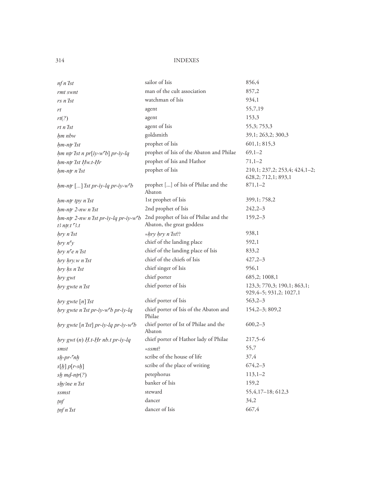| nf n Ist                                                              | sailor of Isis                                                     | 856,4                                                    |
|-----------------------------------------------------------------------|--------------------------------------------------------------------|----------------------------------------------------------|
| rmt swnt                                                              | man of the cult association                                        | 857,2                                                    |
| rs n'Ist                                                              | watchman of Isis                                                   | 934,1                                                    |
| rt                                                                    | agent                                                              | 55,7,19                                                  |
| rt(?)                                                                 | agent                                                              | 153,3                                                    |
| rt n'Ist                                                              | agent of Isis                                                      | 55,3; 753,3                                              |
| hm nbw                                                                | goldsmith                                                          | 39,1; 263,2; 300,3                                       |
| hm-ntr'Ist                                                            | prophet of Isis                                                    | 601,1; 815,3                                             |
| hm ntr'Ist n pr[iy-w <sup>c</sup> b] pr-iy-lq                         | prophet of Isis of the Abaton and Philae                           | $69,1-2$                                                 |
| hm-ntr Ist Hw.t-Hr                                                    | prophet of Isis and Hathor                                         | $71,1-2$                                                 |
| hm-ntr n'Ist                                                          | prophet of Isis                                                    | 210,1; 237,2; 253,4; 424,1-2;<br>628,2; 712,1; 893,1     |
| $hm$ -ntr [] Ist pr-iy-lq pr-iy-w $\epsilon$ b                        | prophet [] of Isis of Philae and the<br>Abaton                     | $871,1-2$                                                |
| hm-ntr tpy n'Ist                                                      | 1st prophet of Isis                                                | 399,1; 758,2                                             |
| hm-ntr 2-nw n'Ist                                                     | 2nd prophet of Isis                                                | $242,2-3$                                                |
| hm-ntr 2-nw n'Ist pr-iy-lq pr-iy-w <sup>c</sup> b<br>$B$ ntr.t $B$ .t | 2nd prophet of Isis of Philae and the<br>Abaton, the great goddess | $159,2-3$                                                |
| hry n'Ist                                                             | $= hry hry n'Ist$                                                  | 938,1                                                    |
| hry n <sup>5</sup> y                                                  | chief of the landing place                                         | 592,1                                                    |
| $hry$ n <sup><math>e</math></sup> n $Ist$                             | chief of the landing place of Isis                                 | 833,2                                                    |
| hry hry.w n'Ist                                                       | chief of the chiefs of Isis                                        | $427,2-3$                                                |
| hry hs n'Ist                                                          | chief singer of Isis                                               | 956,1                                                    |
| hry gwt                                                               | chief porter                                                       | 685,2; 1008,1                                            |
| hry gwte n'Ist                                                        | chief porter of Isis                                               | 123,3; 770,3; 190,1; 863,1;<br>929, 4-5; 931, 2; 1027, 1 |
| $hry$ gwte $[n]$ <i>Ist</i>                                           | chief porter of Isis                                               | $563,2-3$                                                |
| hry gwte n'Ist pr-iy-w <sup>c</sup> b pr-iy-lq                        | chief porter of Isis of the Abaton and<br>Philae                   | $154,2-3;809,2$                                          |
| hry gwte [n 'Ist] pr-iy-lq pr-iy-w <sup>c</sup> b                     | chief porter of Ist of Philae and the<br>Abaton                    | $600,2-3$                                                |
| $hry gwt (n) H.t-Hr nb.t pr-iy-lq$                                    | chief porter of Hathor lady of Philae                              | $217,5-6$                                                |
| smst                                                                  | $=$ ssmt?                                                          | 55,7                                                     |
| $s\not p$ -pr- $\epsilon$ nh                                          | scribe of the house of life                                        | 37,4                                                     |
| $s[h] p[r-sh]$                                                        | scribe of the place of writing                                     | $674,2-3$                                                |
| $sh$ md-ntr(?)                                                        | petephorus                                                         | $113,1-2$                                                |
| shy3ne n'Ist                                                          | banker of Isis                                                     | 159,2                                                    |
| ssmst                                                                 | steward                                                            | 55, 4, 17 - 18; 612, 3                                   |
| inf                                                                   | dancer                                                             | 34,2                                                     |
| tnf n Ist                                                             | dancer of Isis                                                     | 667,4                                                    |
|                                                                       |                                                                    |                                                          |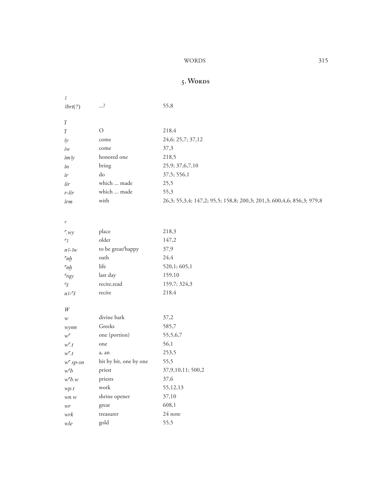#### WORDS

### 5. WORDS

| 3                                      |                        |                                                                       |
|----------------------------------------|------------------------|-----------------------------------------------------------------------|
| 3brt(?)                                | ?                      | 55,8                                                                  |
| $\boldsymbol{\eta}$                    |                        |                                                                       |
| $\boldsymbol{\eta}$                    | $\mathcal O$           | 218,4                                                                 |
| iy                                     | come                   | 24,6; 25,7; 37,12                                                     |
| $iw$                                   | come                   | 37,3                                                                  |
| im3y                                   | honored one            | 218,5                                                                 |
| in                                     | bring                  | 25,9; 37,6,7,10                                                       |
| ir                                     | $\rm do$               | 37,5; 556,1                                                           |
| iir                                    | which  made            | 25,5                                                                  |
| $r$ -iir                               | which  made            | 55,3                                                                  |
| irm                                    | with                   | 26,3; 55,3,4; 147,2; 95,5; 158,8; 200,3; 201,3; 600,4,6; 856,3; 979,8 |
| $\mathfrak{c}$                         |                        |                                                                       |
| $\epsilon_{.wy}$                       | place                  | 218,3                                                                 |
| $\mathbf{c}_3$                         | older                  | 147,2                                                                 |
| $n^2-3w$                               | to be great/happy      | 37,9                                                                  |
| $\epsilon_{nh}$                        | oath                   | 24,4                                                                  |
| $\epsilon_{nh}$                        | life                   | 520,1; 605,1                                                          |
| $\epsilon_{\gamma q y}$                | last day               | 159,10                                                                |
| $\mathbf{\tilde{S}}$                   | recite, read           | 159,7; 324,3                                                          |
| $n3-\tilde{s}$                         | recite                 | 218,4                                                                 |
| $\ensuremath{W}$                       |                        |                                                                       |
| $\mathcal W$                           | divine bark            | 37,2                                                                  |
| wynn                                   | Greeks                 | 585,7                                                                 |
| $w^{\mathsf{c}}$                       | one (portion)          | 55,5,6,7                                                              |
| $w^{\mathsf{c}}.t$                     | one                    | 56,1                                                                  |
| $w^{\mathsf{c}}.t$                     | a, an                  | 253,5                                                                 |
| $w^{\epsilon}$ sp-sn                   | bit by bit, one by one | 55,5                                                                  |
| w <sup>c</sup> b                       | priest                 | 37, 9, 10, 11; 500, 2                                                 |
| $w$ <sup><math>\tau</math></sup> $b.w$ | priests                | 37,6                                                                  |
| wp.t                                   | work                   | 55,12,13                                                              |
| wn.w                                   | shrine opener          | 37,10                                                                 |
| $\ensuremath{\mathit{wr}}$             | great                  | 608,1                                                                 |
| wrk                                    | treasurer              | 24 note                                                               |
| $\;$ wle                               | gold                   | 55,5                                                                  |
|                                        |                        |                                                                       |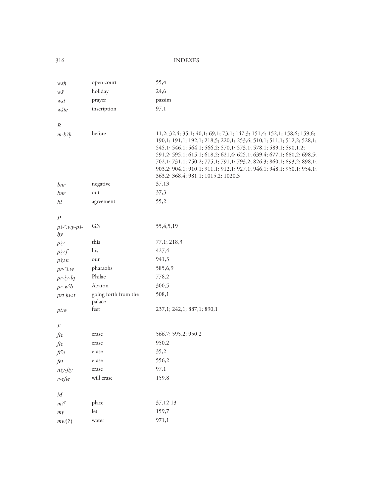| wsḫ                   | open court                     | 55,4                                                                                                                                                                                                                                                                                                                                                                                                                                                                                  |
|-----------------------|--------------------------------|---------------------------------------------------------------------------------------------------------------------------------------------------------------------------------------------------------------------------------------------------------------------------------------------------------------------------------------------------------------------------------------------------------------------------------------------------------------------------------------|
| wš                    | holiday                        | 24,6                                                                                                                                                                                                                                                                                                                                                                                                                                                                                  |
| wst                   | prayer                         | passim                                                                                                                                                                                                                                                                                                                                                                                                                                                                                |
| wšte                  | inscription                    | 97,1                                                                                                                                                                                                                                                                                                                                                                                                                                                                                  |
|                       |                                |                                                                                                                                                                                                                                                                                                                                                                                                                                                                                       |
| B                     |                                |                                                                                                                                                                                                                                                                                                                                                                                                                                                                                       |
| $m-b3h$               | before                         | 11,2; 32,4; 35,1; 40,1; 69,1; 73,1; 147,3; 151,4; 152,1; 158,6; 159,6;<br>190,1; 191,1; 192,1; 218,5; 220,1; 253,6; 510,1; 511,1; 512,2; 528,1;<br>545,1; 546,1; 564,1; 566,2; 570,1; 573,1; 578,1; 589,1; 590,1,2;<br>591,2; 595,1; 615,1; 618,2; 621,4; 625,1; 639,4; 677,1; 680,2; 698,5;<br>702,1; 731,1; 750,2; 775,1; 791,1; 793,2; 826,3; 860,1; 893,2; 898,1;<br>903,2; 904,1; 910,1; 911,1; 912,1; 927,1; 946,1; 948,1; 950,1; 954,1;<br>363,2; 368,4; 981,1; 1015,2; 1020,3 |
| bnr                   | negative                       | 37,13                                                                                                                                                                                                                                                                                                                                                                                                                                                                                 |
| bnr                   | out                            | 37,3                                                                                                                                                                                                                                                                                                                                                                                                                                                                                  |
| bl                    | agreement                      | 55,2                                                                                                                                                                                                                                                                                                                                                                                                                                                                                  |
| $\overline{P}$        |                                |                                                                                                                                                                                                                                                                                                                                                                                                                                                                                       |
| $p3 - y3 - y3$        | <b>GN</b>                      | 55, 4, 5, 19                                                                                                                                                                                                                                                                                                                                                                                                                                                                          |
| hy                    |                                |                                                                                                                                                                                                                                                                                                                                                                                                                                                                                       |
| p <sub>3y</sub>       | this                           | 77,1; 218,3                                                                                                                                                                                                                                                                                                                                                                                                                                                                           |
| p3y f                 | his                            | 427,4                                                                                                                                                                                                                                                                                                                                                                                                                                                                                 |
| $p_3y_1$              | our                            | 941,3                                                                                                                                                                                                                                                                                                                                                                                                                                                                                 |
| $pr$ - $\cdot$ 3.w    | pharaohs                       | 585,6,9                                                                                                                                                                                                                                                                                                                                                                                                                                                                               |
| $pr-iy-lq$            | Philae                         | 778,2                                                                                                                                                                                                                                                                                                                                                                                                                                                                                 |
| $pr-w^{\epsilon}b$    | Abaton                         | 300,5                                                                                                                                                                                                                                                                                                                                                                                                                                                                                 |
| prt hw.t              | going forth from the<br>palace | 508,1                                                                                                                                                                                                                                                                                                                                                                                                                                                                                 |
| pt.w                  | feet                           | 237,1; 242,1; 887,1; 890,1                                                                                                                                                                                                                                                                                                                                                                                                                                                            |
|                       |                                |                                                                                                                                                                                                                                                                                                                                                                                                                                                                                       |
| $\boldsymbol{F}$      |                                | 566,7; 595,2; 950,2                                                                                                                                                                                                                                                                                                                                                                                                                                                                   |
| fte                   | erase                          | 950,2                                                                                                                                                                                                                                                                                                                                                                                                                                                                                 |
| fte                   | erase<br>erase                 | 35,2                                                                                                                                                                                                                                                                                                                                                                                                                                                                                  |
| ft <sup>c</sup>       | erase                          | 556,2                                                                                                                                                                                                                                                                                                                                                                                                                                                                                 |
| fet                   | erase                          | 97,1                                                                                                                                                                                                                                                                                                                                                                                                                                                                                  |
| $n$ <sup>3y-fty</sup> | will erase                     | 159,8                                                                                                                                                                                                                                                                                                                                                                                                                                                                                 |
| $r$ -efte             |                                |                                                                                                                                                                                                                                                                                                                                                                                                                                                                                       |
| ${\cal M}$            |                                |                                                                                                                                                                                                                                                                                                                                                                                                                                                                                       |
| $m$ 3 $\epsilon$      | place                          | 37,12,13                                                                                                                                                                                                                                                                                                                                                                                                                                                                              |
| my                    | let                            | 159,7                                                                                                                                                                                                                                                                                                                                                                                                                                                                                 |
| mw(?)                 | water                          | 971,1                                                                                                                                                                                                                                                                                                                                                                                                                                                                                 |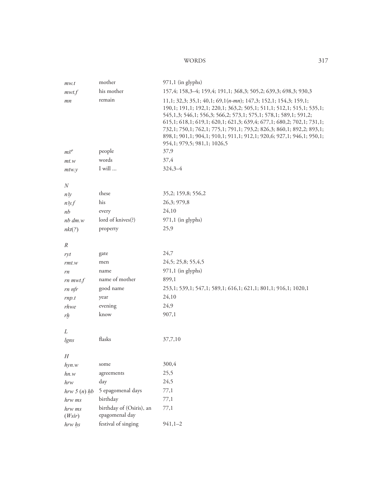#### **WORDS**

| mw.t             | mother                                     | $971,1$ (in glyphs)                                                                                                                                                                                                                                                                                                                                                                                                                                                    |
|------------------|--------------------------------------------|------------------------------------------------------------------------------------------------------------------------------------------------------------------------------------------------------------------------------------------------------------------------------------------------------------------------------------------------------------------------------------------------------------------------------------------------------------------------|
| mwt.f            | his mother                                 | 157,4; 158,3-4; 159,4; 191,1; 368,3; 505,2; 639,3; 698,3; 930,3                                                                                                                                                                                                                                                                                                                                                                                                        |
| mn               | remain                                     | 11,1; 32,3; 35,1; 40,1; 69,1(n-mn); 147,3; 152,1; 154,3; 159,1;<br>190,1; 191,1; 192,1; 220,1; 363,2; 505,1; 511,1; 512,1; 515,1; 535,1;<br>545,1,3; 546,1; 556,3; 566,2; 573,1; 575,1; 578,1; 589,1; 591,2;<br>615,1; 618,1; 619,1; 620,1; 621,3; 639,4; 677,1; 680,2; 702,1; 731,1;<br>732,1; 750,1; 762,1; 775,1; 791,1; 793,2; 826,3; 860,1; 892,2; 893,1;<br>898,1; 901,1; 904,1; 910,1; 911,1; 912,1; 920,6; 927,1; 946,1; 950,1;<br>954,1; 979,5; 981,1; 1026,5 |
| $m\check{s}^c$   | people                                     | 37,9                                                                                                                                                                                                                                                                                                                                                                                                                                                                   |
| mt.w             | words                                      | 37,4                                                                                                                                                                                                                                                                                                                                                                                                                                                                   |
| $m$ tw. $y$      | $\rm I$ will $\ldots$                      | $324,3 - 4$                                                                                                                                                                                                                                                                                                                                                                                                                                                            |
| $\boldsymbol{N}$ |                                            |                                                                                                                                                                                                                                                                                                                                                                                                                                                                        |
| n <sub>3y</sub>  | these                                      | 35,2; 159,8; 556,2                                                                                                                                                                                                                                                                                                                                                                                                                                                     |
| n3y.f            | his                                        | 26,3; 979,8                                                                                                                                                                                                                                                                                                                                                                                                                                                            |
| nb               | every                                      | 24,10                                                                                                                                                                                                                                                                                                                                                                                                                                                                  |
| $nb \, dm.w$     | lord of knives(?)                          | $971,1$ (in glyphs)                                                                                                                                                                                                                                                                                                                                                                                                                                                    |
|                  | property                                   | 25,9                                                                                                                                                                                                                                                                                                                                                                                                                                                                   |
| nkt(?)           |                                            |                                                                                                                                                                                                                                                                                                                                                                                                                                                                        |
| $\boldsymbol{R}$ |                                            |                                                                                                                                                                                                                                                                                                                                                                                                                                                                        |
| ryt              | gate                                       | 24,7                                                                                                                                                                                                                                                                                                                                                                                                                                                                   |
| rmt.w            | men                                        | 24,5; 25,8; 55,4,5                                                                                                                                                                                                                                                                                                                                                                                                                                                     |
| rn               | name                                       | $971,1$ (in glyphs)                                                                                                                                                                                                                                                                                                                                                                                                                                                    |
| $rn$ mwt.f       | name of mother                             | 899,1                                                                                                                                                                                                                                                                                                                                                                                                                                                                  |
| rn nfr           | good name                                  | 253,1; 539,1; 547,1; 589,1; 616,1; 621,1; 801,1; 916,1; 1020,1                                                                                                                                                                                                                                                                                                                                                                                                         |
| rnp.t            | year                                       | 24,10                                                                                                                                                                                                                                                                                                                                                                                                                                                                  |
| rhwe             | evening                                    | 24,9                                                                                                                                                                                                                                                                                                                                                                                                                                                                   |
| r <sub>l</sub>   | know                                       | 907,1                                                                                                                                                                                                                                                                                                                                                                                                                                                                  |
| L                |                                            |                                                                                                                                                                                                                                                                                                                                                                                                                                                                        |
| lgns             | flasks                                     | 37,7,10                                                                                                                                                                                                                                                                                                                                                                                                                                                                |
|                  |                                            |                                                                                                                                                                                                                                                                                                                                                                                                                                                                        |
| H                |                                            |                                                                                                                                                                                                                                                                                                                                                                                                                                                                        |
| hyn.w            | some                                       | 300,4                                                                                                                                                                                                                                                                                                                                                                                                                                                                  |
| hn.w             | agreements                                 | 25,5                                                                                                                                                                                                                                                                                                                                                                                                                                                                   |
| hrw              | day                                        | 24,5                                                                                                                                                                                                                                                                                                                                                                                                                                                                   |
| hrw 5 (n) hb     | 5 epagomenal days                          | 77,1                                                                                                                                                                                                                                                                                                                                                                                                                                                                   |
| hrw ms           | birthday                                   | 77,1                                                                                                                                                                                                                                                                                                                                                                                                                                                                   |
| hrw ms<br>(Wsir) | birthday of (Osiris), an<br>epagomenal day | 77,1                                                                                                                                                                                                                                                                                                                                                                                                                                                                   |
| hrw hs           | festival of singing                        | $941,1-2$                                                                                                                                                                                                                                                                                                                                                                                                                                                              |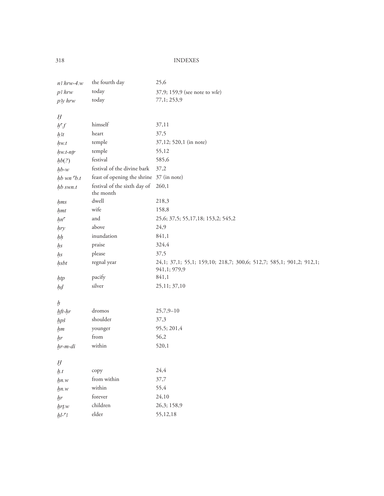| $n3$ hrw-4. $w$    | the fourth day                            | 25,6                                                                                |
|--------------------|-------------------------------------------|-------------------------------------------------------------------------------------|
| p3 hrw             | today                                     | 37,9; 159,9 (see note to wle)                                                       |
| p3y hrw            | today                                     | 77,1; 253,9                                                                         |
| Ĥ                  |                                           |                                                                                     |
| $h^{\epsilon}f$    | himself                                   | 37,11                                                                               |
| $h$ 3t             | heart                                     | 37,5                                                                                |
| hw.t               | temple                                    | 37,12; 520,1 (in note)                                                              |
| $hw.t-ntr$         | temple                                    | 55,12                                                                               |
| hb(?)              | festival                                  | 585,6                                                                               |
| $hb-w$             | festival of the divine bark               | 37,2                                                                                |
| $hb$ wn $b.t$      | feast of opening the shrine 37 (in note)  |                                                                                     |
| hb swn.t           | festival of the sixth day of<br>the month | 260,1                                                                               |
| hms                | dwell                                     | 218,3                                                                               |
| hmt                | wife                                      | 158,8                                                                               |
| hn <sup>c</sup>    | and                                       | 25, 6; 37, 5; 55, 17, 18; 153, 2; 545, 2                                            |
| hry                | above                                     | 24,9                                                                                |
| hh                 | inundation                                | 841,1                                                                               |
| hs                 | praise                                    | 324,4                                                                               |
| hs                 | please                                    | 37,5                                                                                |
| hsbt               | regnal year                               | 24,1; 37,1; 55,1; 159,10; 218,7; 300,6; 512,7; 585,1; 901,2; 912,1;<br>941,1; 979,9 |
| htp                | pacify                                    | 841,1                                                                               |
| ķ₫                 | silver                                    | 25,11; 37,10                                                                        |
| $\boldsymbol{h}$   |                                           |                                                                                     |
| hft-hr             | dromos                                    | $25,7,9 - 10$                                                                       |
| hpš                | shoulder                                  | 37,3                                                                                |
| hm                 | younger                                   | 95,5; 201,4                                                                         |
| br                 | from                                      | 56,2                                                                                |
| $hr$ - $mi$ - $di$ | within                                    | 520,1                                                                               |
| $\cal H$           |                                           |                                                                                     |
| h.t                | copy                                      | 24,4                                                                                |
| hn.w               | from within                               | 37,7                                                                                |
| $\n  hn.w\n$       | within                                    | 55,4                                                                                |
| hr                 | forever                                   | 24,10                                                                               |
| $hr$ tw            | children                                  | 26,3; 158,9                                                                         |
| $hl-$ 3            | elder                                     | 55,12,18                                                                            |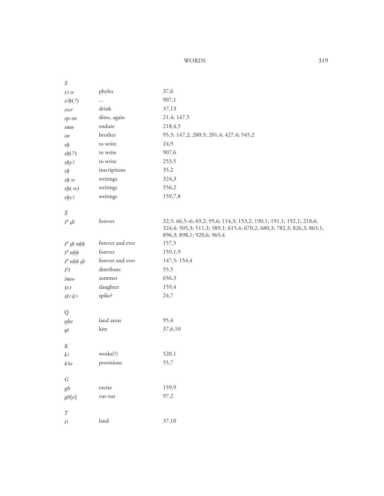#### WORDS 319

| ${\cal S}$                    |                  |                                                                                                                                              |
|-------------------------------|------------------|----------------------------------------------------------------------------------------------------------------------------------------------|
| $s^2 w$                       | phyles           | 37,6                                                                                                                                         |
| s3h(?)                        | $\cdots$         | 907,1                                                                                                                                        |
| $\it{SWY}$                    | drink            | 37,13                                                                                                                                        |
| $sp$ - $sn$                   | ditto, again     | 21,4; 147,5                                                                                                                                  |
| smn                           | endure           | 218,4,5                                                                                                                                      |
| sn                            | brother          | 95,5; 147,2; 200,5; 201,4; 427,4; 545,2                                                                                                      |
| $\mathcal{S}_{\underline{h}}$ | to write         | 24,9                                                                                                                                         |
| sh(?)                         | to write         | 907,6                                                                                                                                        |
| shy3                          | to write         | 253,5                                                                                                                                        |
| $s$ <i>h</i>                  | inscriptions     | 35,2                                                                                                                                         |
| $s$ <i>h</i> .w               | writings         | 324,3                                                                                                                                        |
| sh(w)                         | writings         | 556,2                                                                                                                                        |
| $s$ hy3                       | writings         | 159,7,8                                                                                                                                      |
|                               |                  |                                                                                                                                              |
| Š                             |                  |                                                                                                                                              |
| $\check{s}^c \, dt$           | forever          | 32,5; 66,5-6; 69,2; 95,6; 114,3; 153,2; 190,1; 191,1; 192,1; 218,6;<br>324,4; 505,3; 511,3; 589,1; 615,4; 670,2; 680,3; 782,3; 826,3; 863,1; |
|                               |                  | 896,3; 898,1; 920,6; 965,4                                                                                                                   |
| $\check{s}^c$ dt nhh          | forever and ever | 157,5                                                                                                                                        |
| $\check{s}^c$ nhh             | forever          | 159,1,9                                                                                                                                      |
| $\check{s}^c$ nhh dt          | forever and ever | 147,5; 154,4                                                                                                                                 |
| $\check{s}^{\mathsf{c}}t$     | distribute       | 55,5                                                                                                                                         |
| $\check{S}m$ w                | summer           | 656,3                                                                                                                                        |
| šr:t                          | daughter         | 159,4                                                                                                                                        |
| $\zeta l < k$                 | spike?           | 24,7                                                                                                                                         |
|                               |                  |                                                                                                                                              |
| Q                             |                  |                                                                                                                                              |
| ghe                           | land areas       | 95,4                                                                                                                                         |
| $q_t$                         | kite             | 37,6,10                                                                                                                                      |
|                               |                  |                                                                                                                                              |
| K                             |                  |                                                                                                                                              |
| k <sup>3</sup>                | works(?)         | 520,1                                                                                                                                        |
| $k_3w$                        | provisions       | 55,7                                                                                                                                         |
| $\sqrt{G}$                    |                  |                                                                                                                                              |
| gb                            | excise           | 159,9                                                                                                                                        |
| gb[e]                         | cut out          | 97,2                                                                                                                                         |
|                               |                  |                                                                                                                                              |
| $\cal T$                      |                  |                                                                                                                                              |
| $t^2$                         | land             | 37,10                                                                                                                                        |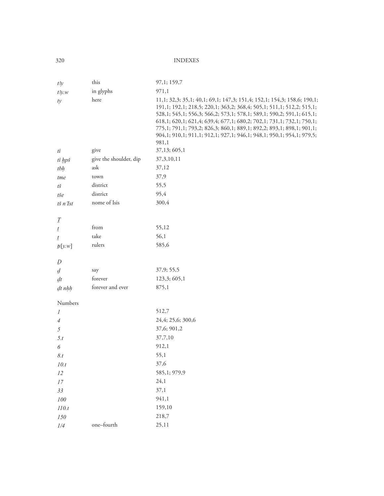| t3y                                         | this                   | 97,1; 159,7                                                                                                                                                                                                                                                                                                                                                                                                                                                   |
|---------------------------------------------|------------------------|---------------------------------------------------------------------------------------------------------------------------------------------------------------------------------------------------------------------------------------------------------------------------------------------------------------------------------------------------------------------------------------------------------------------------------------------------------------|
| $t\frac{3}{y}$ . w                          | in glyphs              | 971,1                                                                                                                                                                                                                                                                                                                                                                                                                                                         |
| ty                                          | here                   | 11,1; 32,3; 35,1; 40,1; 69,1; 147,3; 151,4; 152,1; 154,3; 158,6; 190,1;<br>191,1; 192,1; 218,5; 220,1; 363,2; 368,4; 505,1; 511,1; 512,2; 515,1;<br>528,1; 545,1; 556,3; 566,2; 573,1; 578,1; 589,1; 590,2; 591,1; 615,1;<br>618,1; 620,1; 621,4; 639,4; 677,1; 680,2; 702,1; 731,1; 732,1; 750,1;<br>775,1; 791,1; 793,2; 826,3; 860,1; 889,1; 892,2; 893,1; 898,1; 901,1;<br>904,1; 910,1; 911,1; 912,1; 927,1; 946,1; 948,1; 950,1; 954,1; 979,5;<br>981,1 |
| ti                                          | give                   | 37,13; 605,1                                                                                                                                                                                                                                                                                                                                                                                                                                                  |
| ti hpš                                      | give the shoulder, dip | 37, 3, 10, 11                                                                                                                                                                                                                                                                                                                                                                                                                                                 |
| tbh                                         | ask                    | 37,12                                                                                                                                                                                                                                                                                                                                                                                                                                                         |
| tme                                         | town                   | 37,9                                                                                                                                                                                                                                                                                                                                                                                                                                                          |
| $t\check{s}$                                | district               | 55,5                                                                                                                                                                                                                                                                                                                                                                                                                                                          |
| tše                                         | district               | 95,4                                                                                                                                                                                                                                                                                                                                                                                                                                                          |
| tš n'Ist                                    | nome of Isis           | 300,4                                                                                                                                                                                                                                                                                                                                                                                                                                                         |
|                                             |                        |                                                                                                                                                                                                                                                                                                                                                                                                                                                               |
| $\mathcal{I}% _{F_{0}}^{\ast }(\mathbf{0})$ |                        |                                                                                                                                                                                                                                                                                                                                                                                                                                                               |
| $\underline{t}$                             | from                   | 55,12                                                                                                                                                                                                                                                                                                                                                                                                                                                         |
| $\mathbf{t}$                                | take                   | 56,1                                                                                                                                                                                                                                                                                                                                                                                                                                                          |
| $\mathbf{I} \mathbf{s}[y, w]$               | rulers                 | 585,6                                                                                                                                                                                                                                                                                                                                                                                                                                                         |
| $\varrho$                                   |                        |                                                                                                                                                                                                                                                                                                                                                                                                                                                               |
| $\overline{d}$                              | say                    | 37,9; 55,5                                                                                                                                                                                                                                                                                                                                                                                                                                                    |
| dt                                          | forever                | 123,3; 605,1                                                                                                                                                                                                                                                                                                                                                                                                                                                  |
| $dt$ <sub>nhh</sub>                         | forever and ever       | 875,1                                                                                                                                                                                                                                                                                                                                                                                                                                                         |
|                                             |                        |                                                                                                                                                                                                                                                                                                                                                                                                                                                               |
| Numbers                                     |                        |                                                                                                                                                                                                                                                                                                                                                                                                                                                               |
| 1                                           |                        | 512,7                                                                                                                                                                                                                                                                                                                                                                                                                                                         |
| $\overline{4}$                              |                        | 24,4; 25,6; 300,6                                                                                                                                                                                                                                                                                                                                                                                                                                             |
| 5                                           |                        | 37,6; 901,2                                                                                                                                                                                                                                                                                                                                                                                                                                                   |
| 5.t                                         |                        | 37,7,10                                                                                                                                                                                                                                                                                                                                                                                                                                                       |
| 6                                           |                        | 912,1                                                                                                                                                                                                                                                                                                                                                                                                                                                         |
| 8.t                                         |                        | 55,1                                                                                                                                                                                                                                                                                                                                                                                                                                                          |
| 10.t                                        |                        | 37,6                                                                                                                                                                                                                                                                                                                                                                                                                                                          |
| $12\,$                                      |                        | 585,1; 979,9                                                                                                                                                                                                                                                                                                                                                                                                                                                  |
| $17\,$                                      |                        | 24,1                                                                                                                                                                                                                                                                                                                                                                                                                                                          |
| 33                                          |                        | 37,1                                                                                                                                                                                                                                                                                                                                                                                                                                                          |
| ${\it 100}$                                 |                        | 941,1                                                                                                                                                                                                                                                                                                                                                                                                                                                         |
| $110.t$                                     |                        | 159,10                                                                                                                                                                                                                                                                                                                                                                                                                                                        |
| $150\,$                                     |                        | 218,7                                                                                                                                                                                                                                                                                                                                                                                                                                                         |
| 1/4                                         | one-fourth             | 25,11                                                                                                                                                                                                                                                                                                                                                                                                                                                         |